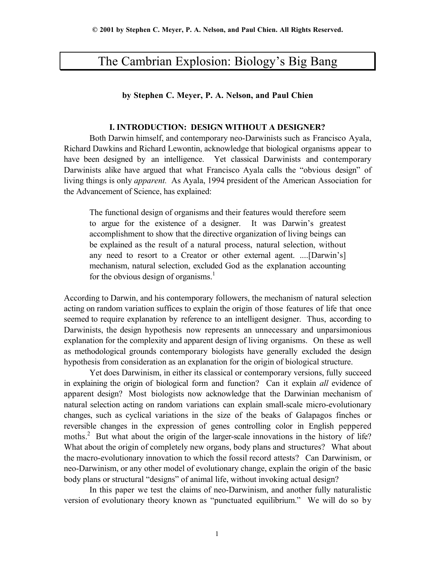# The Cambrian Explosion: Biology's Big Bang

### **by Stephen C. Meyer, P. A. Nelson, and Paul Chien**

### **I. INTRODUCTION: DESIGN WITHOUT A DESIGNER?**

Both Darwin himself, and contemporary neo-Darwinists such as Francisco Ayala, Richard Dawkins and Richard Lewontin, acknowledge that biological organisms appear to have been designed by an intelligence. Yet classical Darwinists and contemporary Darwinists alike have argued that what Francisco Ayala calls the "obvious design" of living things is only *apparent.* As Ayala, 1994 president of the American Association for the Advancement of Science, has explained:

The functional design of organisms and their features would therefore seem to argue for the existence of a designer. It was Darwin's greatest accomplishment to show that the directive organization of living beings can be explained as the result of a natural process, natural selection, without any need to resort to a Creator or other external agent. ....[Darwin's] mechanism, natural selection, excluded God as the explanation accounting for the obvious design of organisms.<sup>1</sup>

According to Darwin, and his contemporary followers, the mechanism of natural selection acting on random variation suffices to explain the origin of those features of life that once seemed to require explanation by reference to an intelligent designer. Thus, according to Darwinists, the design hypothesis now represents an unnecessary and unparsimonious explanation for the complexity and apparent design of living organisms. On these as well as methodological grounds contemporary biologists have generally excluded the design hypothesis from consideration as an explanation for the origin of biological structure.

Yet does Darwinism, in either its classical or contemporary versions, fully succeed in explaining the origin of biological form and function? Can it explain *all* evidence of apparent design? Most biologists now acknowledge that the Darwinian mechanism of natural selection acting on random variations can explain small-scale micro-evolutionary changes, such as cyclical variations in the size of the beaks of Galapagos finches or reversible changes in the expression of genes controlling color in English peppered moths.<sup>2</sup> But what about the origin of the larger-scale innovations in the history of life? What about the origin of completely new organs, body plans and structures? What about the macro-evolutionary innovation to which the fossil record attests? Can Darwinism, or neo-Darwinism, or any other model of evolutionary change, explain the origin of the basic body plans or structural "designs" of animal life, without invoking actual design?

In this paper we test the claims of neo-Darwinism, and another fully naturalistic version of evolutionary theory known as "punctuated equilibrium." We will do so by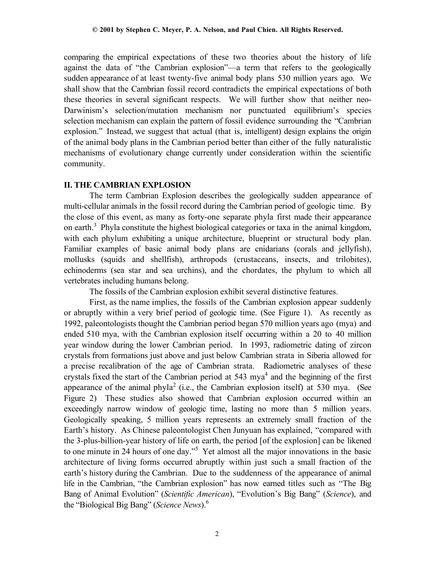comparing the empirical expectations of these two theories about the history of life against the data of "the Cambrian explosion"—a term that refers to the geologically sudden appearance of at least twenty-five animal body plans 530 million years ago. We shall show that the Cambrian fossil record contradicts the empirical expectations of both these theories in several significant respects. We will further show that neither neo-Darwinism's selection/mutation mechanism nor punctuated equilibrium's species selection mechanism can explain the pattern of fossil evidence surrounding the "Cambrian explosion." Instead, we suggest that actual (that is, intelligent) design explains the origin of the animal body plans in the Cambrian period better than either of the fully naturalistic mechanisms of evolutionary change currently under consideration within the scientific community.

# **II. THE CAMBRIAN EXPLOSION**

The term Cambrian Explosion describes the geologically sudden appearance of multi-cellular animals in the fossil record during the Cambrian period of geologic time. By the close of this event, as many as forty-one separate phyla first made their appearance on earth.<sup>3</sup> Phyla constitute the highest biological categories or taxa in the animal kingdom, with each phylum exhibiting a unique architecture, blueprint or structural body plan. Familiar examples of basic animal body plans are cnidarians (corals and jellyfish), mollusks (squids and shellfish), arthropods (crustaceans, insects, and trilobites), echinoderms (sea star and sea urchins), and the chordates, the phylum to which all vertebrates including humans belong.

The fossils of the Cambrian explosion exhibit several distinctive features.

First, as the name implies, the fossils of the Cambrian explosion appear suddenly or abruptly within a very brief period of geologic time. (See Figure 1). As recently as 1992, paleontologists thought the Cambrian period began 570 million years ago (mya) and ended 510 mya, with the Cambrian explosion itself occurring within a 20 to 40 million year window during the lower Cambrian period. In 1993, radiometric dating of zircon crystals from formations just above and just below Cambrian strata in Siberia allowed for a precise recalibration of the age of Cambrian strata. Radiometric analyses of these crystals fixed the start of the Cambrian period at  $543$  mya<sup>4</sup> and the beginning of the first appearance of the animal phyla<sup>2</sup> (i.e., the Cambrian explosion itself) at 530 mya. (See Figure 2) These studies also showed that Cambrian explosion occurred within an exceedingly narrow window of geologic time, lasting no more than 5 million years. Geologically speaking, 5 million years represents an extremely small fraction of the Earth's history. As Chinese paleontologist Chen Junyuan has explained, "compared with the 3-plus-billion-year history of life on earth, the period [of the explosion] can be likened to one minute in 24 hours of one day."<sup>5</sup> Yet almost all the major innovations in the basic architecture of living forms occurred abruptly within just such a small fraction of the earth's history during the Cambrian. Due to the suddenness of the appearance of animal life in the Cambrian, "the Cambrian explosion" has now earned titles such as "The Big Bang of Animal Evolution" (*Scientific American*), "Evolution's Big Bang" (*Science*), and the "Biological Big Bang" (*Science News*).<sup>6</sup>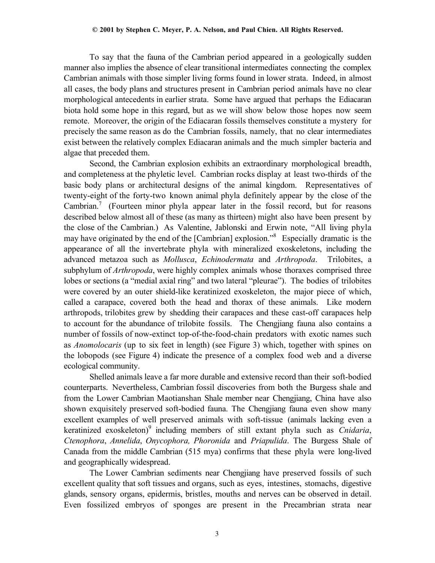To say that the fauna of the Cambrian period appeared in a geologically sudden manner also implies the absence of clear transitional intermediates connecting the complex Cambrian animals with those simpler living forms found in lower strata. Indeed, in almost all cases, the body plans and structures present in Cambrian period animals have no clear morphological antecedents in earlier strata. Some have argued that perhaps the Ediacaran biota hold some hope in this regard, but as we will show below those hopes now seem remote. Moreover, the origin of the Ediacaran fossils themselves constitute a mystery for precisely the same reason as do the Cambrian fossils, namely, that no clear intermediates exist between the relatively complex Ediacaran animals and the much simpler bacteria and algae that preceded them.

Second, the Cambrian explosion exhibits an extraordinary morphological breadth, and completeness at the phyletic level. Cambrian rocks display at least two-thirds of the basic body plans or architectural designs of the animal kingdom. Representatives of twenty-eight of the forty-two known animal phyla definitely appear by the close of the Cambrian.<sup>7</sup> (Fourteen minor phyla appear later in the fossil record, but for reasons described below almost all of these (as many as thirteen) might also have been present by the close of the Cambrian.) As Valentine, Jablonski and Erwin note, "All living phyla may have originated by the end of the [Cambrian] explosion."<sup>8</sup> Especially dramatic is the appearance of all the invertebrate phyla with mineralized exoskeletons, including the advanced metazoa such as *Mollusca*, *Echinodermata* and *Arthropoda*. Trilobites, a subphylum of *Arthropoda*, were highly complex animals whose thoraxes comprised three lobes or sections (a "medial axial ring" and two lateral "pleurae"). The bodies of trilobites were covered by an outer shield-like keratinized exoskeleton, the major piece of which, called a carapace, covered both the head and thorax of these animals. Like modern arthropods, trilobites grew by shedding their carapaces and these cast-off carapaces help to account for the abundance of trilobite fossils. The Chengjiang fauna also contains a number of fossils of now-extinct top-of-the-food-chain predators with exotic names such as *Anomolocaris* (up to six feet in length) (see Figure 3) which, together with spines on the lobopods (see Figure 4) indicate the presence of a complex food web and a diverse ecological community.

Shelled animals leave a far more durable and extensive record than their soft-bodied counterparts. Nevertheless, Cambrian fossil discoveries from both the Burgess shale and from the Lower Cambrian Maotianshan Shale member near Chengjiang, China have also shown exquisitely preserved soft-bodied fauna. The Chengjiang fauna even show many excellent examples of well preserved animals with soft-tissue (animals lacking even a keratinized exoskeleton)<sup>9</sup> including members of still extant phyla such as *Cnidaria*, *Ctenophora*, *Annelida*, *Onycophora, Phoronida* and *Priapulida*. The Burgess Shale of Canada from the middle Cambrian (515 mya) confirms that these phyla were long-lived and geographically widespread.

The Lower Cambrian sediments near Chengjiang have preserved fossils of such excellent quality that soft tissues and organs, such as eyes, intestines, stomachs, digestive glands, sensory organs, epidermis, bristles, mouths and nerves can be observed in detail. Even fossilized embryos of sponges are present in the Precambrian strata near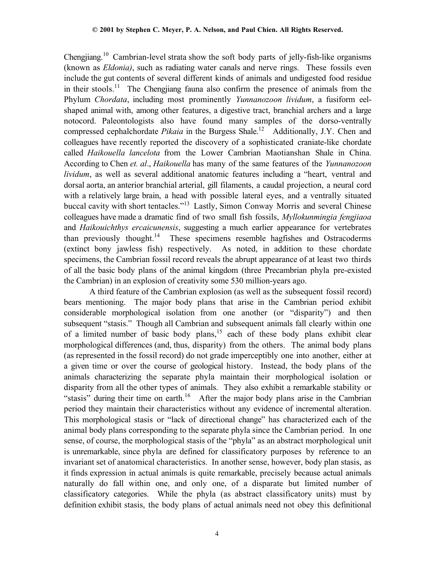Chengjiang.10 Cambrian-level strata show the soft body parts of jelly-fish-like organisms (known as *Eldonia)*, such as radiating water canals and nerve rings. These fossils even include the gut contents of several different kinds of animals and undigested food residue in their stools.<sup>11</sup> The Chengjiang fauna also confirm the presence of animals from the Phylum *Chordata*, including most prominently *Yunnanozoon lividum*, a fusiform eelshaped animal with, among other features, a digestive tract, branchial archers and a large notocord. Paleontologists also have found many samples of the dorso-ventrally compressed cephalchordate *Pikaia* in the Burgess Shale.<sup>12</sup> Additionally, J.Y. Chen and colleagues have recently reported the discovery of a sophisticated craniate-like chordate called *Haikouella lancelota* from the Lower Cambrian Maotianshan Shale in China. According to Chen *et. al*., *Haikouella* has many of the same features of the *Yunnanozoon lividum*, as well as several additional anatomic features including a "heart, ventral and dorsal aorta, an anterior branchial arterial, gill filaments, a caudal projection, a neural cord with a relatively large brain, a head with possible lateral eyes, and a ventrally situated buccal cavity with short tentacles."13 Lastly, Simon Conway Morris and several Chinese colleagues have made a dramatic find of two small fish fossils, *Myllokunmingia fengjiaoa* and *Haikouichthys ercaicunensis*, suggesting a much earlier appearance for vertebrates than previously thought.14 These specimens resemble hagfishes and Ostracoderms (extinct bony jawless fish) respectively.As noted, in addition to these chordate specimens, the Cambrian fossil record reveals the abrupt appearance of at least two thirds of all the basic body plans of the animal kingdom (three Precambrian phyla pre-existed the Cambrian) in an explosion of creativity some 530 million-years ago.

A third feature of the Cambrian explosion (as well as the subsequent fossil record) bears mentioning. The major body plans that arise in the Cambrian period exhibit considerable morphological isolation from one another (or "disparity") and then subsequent "stasis." Though all Cambrian and subsequent animals fall clearly within one of a limited number of basic body plans,15 each of these body plans exhibit clear morphological differences (and, thus, disparity) from the others. The animal body plans (as represented in the fossil record) do not grade imperceptibly one into another, either at a given time or over the course of geological history. Instead, the body plans of the animals characterizing the separate phyla maintain their morphological isolation or disparity from all the other types of animals. They also exhibit a remarkable stability or "stasis" during their time on earth.<sup>16</sup> After the major body plans arise in the Cambrian period they maintain their characteristics without any evidence of incremental alteration. This morphological stasis or "lack of directional change" has characterized each of the animal body plans corresponding to the separate phyla since the Cambrian period. In one sense, of course, the morphological stasis of the "phyla" as an abstract morphological unit is unremarkable, since phyla are defined for classificatory purposes by reference to an invariant set of anatomical characteristics. In another sense, however, body plan stasis, as it finds expression in actual animals is quite remarkable, precisely because actual animals naturally do fall within one, and only one, of a disparate but limited number of classificatory categories. While the phyla (as abstract classificatory units) must by definition exhibit stasis, the body plans of actual animals need not obey this definitional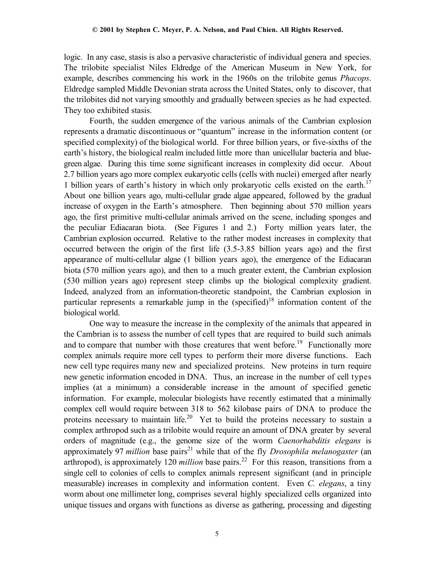logic. In any case, stasis is also a pervasive characteristic of individual genera and species. The trilobite specialist Niles Eldredge of the American Museum in New York, for example, describes commencing his work in the 1960s on the trilobite genus *Phacops*. Eldredge sampled Middle Devonian strata across the United States, only to discover, that the trilobites did not varying smoothly and gradually between species as he had expected. They too exhibited stasis.

Fourth, the sudden emergence of the various animals of the Cambrian explosion represents a dramatic discontinuous or "quantum" increase in the information content (or specified complexity) of the biological world. For three billion years, or five-sixths of the earth's history, the biological realm included little more than unicellular bacteria and bluegreen algae. During this time some significant increases in complexity did occur. About 2.7 billion years ago more complex eukaryotic cells (cells with nuclei) emerged after nearly 1 billion years of earth's history in which only prokaryotic cells existed on the earth.17 About one billion years ago, multi-cellular grade algae appeared, followed by the gradual increase of oxygen in the Earth's atmosphere. Then beginning about 570 million years ago, the first primitive multi-cellular animals arrived on the scene, including sponges and the peculiar Ediacaran biota. (See Figures 1 and 2.) Forty million years later, the Cambrian explosion occurred. Relative to the rather modest increases in complexity that occurred between the origin of the first life (3.5-3.85 billion years ago) and the first appearance of multi-cellular algae (1 billion years ago), the emergence of the Ediacaran biota (570 million years ago), and then to a much greater extent, the Cambrian explosion (530 million years ago) represent steep climbs up the biological complexity gradient. Indeed, analyzed from an information-theoretic standpoint, the Cambrian explosion in particular represents a remarkable jump in the (specified)<sup>18</sup> information content of the biological world.

One way to measure the increase in the complexity of the animals that appeared in the Cambrian is to assess the number of cell types that are required to build such animals and to compare that number with those creatures that went before.<sup>19</sup> Functionally more complex animals require more cell types to perform their more diverse functions. Each new cell type requires many new and specialized proteins. New proteins in turn require new genetic information encoded in DNA. Thus, an increase in the number of cell types implies (at a minimum) a considerable increase in the amount of specified genetic information. For example, molecular biologists have recently estimated that a minimally complex cell would require between 318 to 562 kilobase pairs of DNA to produce the proteins necessary to maintain life.<sup>20</sup> Yet to build the proteins necessary to sustain a complex arthropod such as a trilobite would require an amount of DNA greater by several orders of magnitude (e.g., the genome size of the worm *Caenorhabditis elegans* is approximately 97 *million* base pairs<sup>21</sup> while that of the fly *Drosophila melanogaster* (an arthropod), is approximately 120 *million* base pairs.<sup>22</sup> For this reason, transitions from a single cell to colonies of cells to complex animals represent significant (and in principle measurable) increases in complexity and information content. Even *C. elegans*, a tiny worm about one millimeter long, comprises several highly specialized cells organized into unique tissues and organs with functions as diverse as gathering, processing and digesting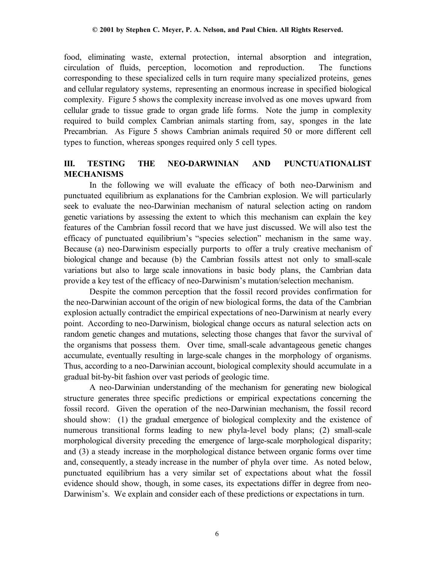food, eliminating waste, external protection, internal absorption and integration, circulation of fluids, perception, locomotion and reproduction. The functions corresponding to these specialized cells in turn require many specialized proteins, genes and cellular regulatory systems, representing an enormous increase in specified biological complexity. Figure 5 shows the complexity increase involved as one moves upward from cellular grade to tissue grade to organ grade life forms. Note the jump in complexity required to build complex Cambrian animals starting from, say, sponges in the late Precambrian. As Figure 5 shows Cambrian animals required 50 or more different cell types to function, whereas sponges required only 5 cell types.

# **III. TESTING THE NEO-DARWINIAN AND PUNCTUATIONALIST MECHANISMS**

In the following we will evaluate the efficacy of both neo-Darwinism and punctuated equilibrium as explanations for the Cambrian explosion. We will particularly seek to evaluate the neo-Darwinian mechanism of natural selection acting on random genetic variations by assessing the extent to which this mechanism can explain the key features of the Cambrian fossil record that we have just discussed. We will also test the efficacy of punctuated equilibrium's "species selection" mechanism in the same way. Because (a) neo-Darwinism especially purports to offer a truly creative mechanism of biological change and because (b) the Cambrian fossils attest not only to small-scale variations but also to large scale innovations in basic body plans, the Cambrian data provide a key test of the efficacy of neo-Darwinism's mutation/selection mechanism.

Despite the common perception that the fossil record provides confirmation for the neo-Darwinian account of the origin of new biological forms, the data of the Cambrian explosion actually contradict the empirical expectations of neo-Darwinism at nearly every point. According to neo-Darwinism, biological change occurs as natural selection acts on random genetic changes and mutations, selecting those changes that favor the survival of the organisms that possess them. Over time, small-scale advantageous genetic changes accumulate, eventually resulting in large-scale changes in the morphology of organisms. Thus, according to a neo-Darwinian account, biological complexity should accumulate in a gradual bit-by-bit fashion over vast periods of geologic time.

A neo-Darwinian understanding of the mechanism for generating new biological structure generates three specific predictions or empirical expectations concerning the fossil record. Given the operation of the neo-Darwinian mechanism, the fossil record should show: (1) the gradual emergence of biological complexity and the existence of numerous transitional forms leading to new phyla-level body plans; (2) small-scale morphological diversity preceding the emergence of large-scale morphological disparity; and (3) a steady increase in the morphological distance between organic forms over time and, consequently, a steady increase in the number of phyla over time. As noted below, punctuated equilibrium has a very similar set of expectations about what the fossil evidence should show, though, in some cases, its expectations differ in degree from neo-Darwinism's. We explain and consider each of these predictions or expectations in turn.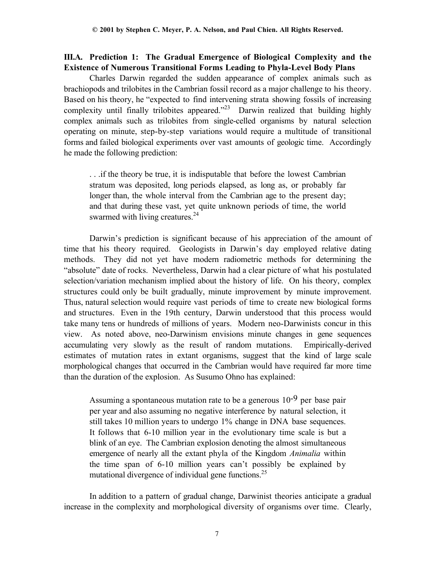### **III.A. Prediction 1: The Gradual Emergence of Biological Complexity and the Existence of Numerous Transitional Forms Leading to Phyla-Level Body Plans**

Charles Darwin regarded the sudden appearance of complex animals such as brachiopods and trilobites in the Cambrian fossil record as a major challenge to his theory. Based on his theory, he "expected to find intervening strata showing fossils of increasing complexity until finally trilobites appeared.<sup>223</sup> Darwin realized that building highly complex animals such as trilobites from single-celled organisms by natural selection operating on minute, step-by-step variations would require a multitude of transitional forms and failed biological experiments over vast amounts of geologic time. Accordingly he made the following prediction:

. . .if the theory be true, it is indisputable that before the lowest Cambrian stratum was deposited, long periods elapsed, as long as, or probably far longer than, the whole interval from the Cambrian age to the present day; and that during these vast, yet quite unknown periods of time, the world swarmed with living creatures.<sup>24</sup>

Darwin's prediction is significant because of his appreciation of the amount of time that his theory required. Geologists in Darwin's day employed relative dating methods. They did not yet have modern radiometric methods for determining the "absolute" date of rocks. Nevertheless, Darwin had a clear picture of what his postulated selection/variation mechanism implied about the history of life. On his theory, complex structures could only be built gradually, minute improvement by minute improvement. Thus, natural selection would require vast periods of time to create new biological forms and structures. Even in the 19th century, Darwin understood that this process would take many tens or hundreds of millions of years. Modern neo-Darwinists concur in this view. As noted above, neo-Darwinism envisions minute changes in gene sequences accumulating very slowly as the result of random mutations. Empirically-derived estimates of mutation rates in extant organisms, suggest that the kind of large scale morphological changes that occurred in the Cambrian would have required far more time than the duration of the explosion. As Susumo Ohno has explained:

Assuming a spontaneous mutation rate to be a generous  $10^{-9}$  per base pair per year and also assuming no negative interference by natural selection, it still takes 10 million years to undergo 1% change in DNA base sequences. It follows that 6-10 million year in the evolutionary time scale is but a blink of an eye. The Cambrian explosion denoting the almost simultaneous emergence of nearly all the extant phyla of the Kingdom *Animalia* within the time span of 6-10 million years can't possibly be explained by mutational divergence of individual gene functions.<sup>25</sup>

In addition to a pattern of gradual change, Darwinist theories anticipate a gradual increase in the complexity and morphological diversity of organisms over time. Clearly,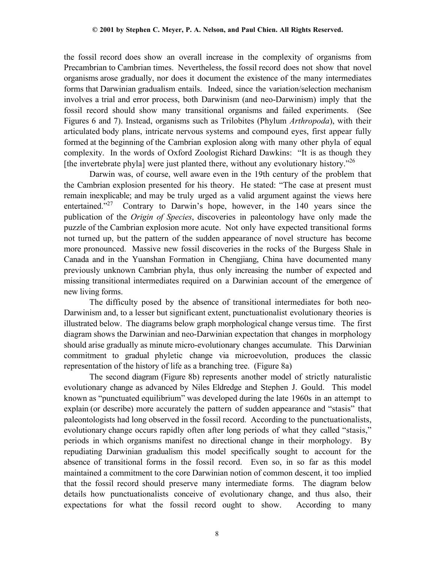the fossil record does show an overall increase in the complexity of organisms from Precambrian to Cambrian times. Nevertheless, the fossil record does not show that novel organisms arose gradually, nor does it document the existence of the many intermediates forms that Darwinian gradualism entails. Indeed, since the variation/selection mechanism involves a trial and error process, both Darwinism (and neo-Darwinism) imply that the fossil record should show many transitional organisms and failed experiments. (See Figures 6 and 7). Instead, organisms such as Trilobites (Phylum *Arthropoda*), with their articulated body plans, intricate nervous systems and compound eyes, first appear fully formed at the beginning of the Cambrian explosion along with many other phyla of equal complexity. In the words of Oxford Zoologist Richard Dawkins: "It is as though they [the invertebrate phyla] were just planted there, without any evolutionary history.<sup> $26$ </sup>

Darwin was, of course, well aware even in the 19th century of the problem that the Cambrian explosion presented for his theory. He stated: "The case at present must remain inexplicable; and may be truly urged as a valid argument against the views here entertained."<sup>27</sup> Contrary to Darwin's hope, however, in the 140 years since the publication of the *Origin of Species*, discoveries in paleontology have only made the puzzle of the Cambrian explosion more acute. Not only have expected transitional forms not turned up, but the pattern of the sudden appearance of novel structure has become more pronounced. Massive new fossil discoveries in the rocks of the Burgess Shale in Canada and in the Yuanshan Formation in Chengjiang, China have documented many previously unknown Cambrian phyla, thus only increasing the number of expected and missing transitional intermediates required on a Darwinian account of the emergence of new living forms.

The difficulty posed by the absence of transitional intermediates for both neo-Darwinism and, to a lesser but significant extent, punctuationalist evolutionary theories is illustrated below. The diagrams below graph morphological change versus time. The first diagram shows the Darwinian and neo-Darwinian expectation that changes in morphology should arise gradually as minute micro-evolutionary changes accumulate. This Darwinian commitment to gradual phyletic change via microevolution, produces the classic representation of the history of life as a branching tree. (Figure 8a)

The second diagram (Figure 8b) represents another model of strictly naturalistic evolutionary change as advanced by Niles Eldredge and Stephen J. Gould. This model known as "punctuated equilibrium" was developed during the late 1960s in an attempt to explain (or describe) more accurately the pattern of sudden appearance and "stasis" that paleontologists had long observed in the fossil record. According to the punctuationalists, evolutionary change occurs rapidly often after long periods of what they called "stasis," periods in which organisms manifest no directional change in their morphology. By repudiating Darwinian gradualism this model specifically sought to account for the absence of transitional forms in the fossil record. Even so, in so far as this model maintained a commitment to the core Darwinian notion of common descent, it too implied that the fossil record should preserve many intermediate forms. The diagram below details how punctuationalists conceive of evolutionary change, and thus also, their expectations for what the fossil record ought to show. According to many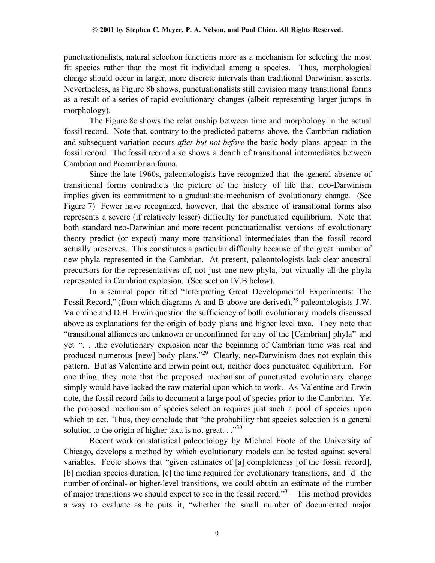punctuationalists, natural selection functions more as a mechanism for selecting the most fit species rather than the most fit individual among a species. Thus, morphological change should occur in larger, more discrete intervals than traditional Darwinism asserts. Nevertheless, as Figure 8b shows, punctuationalists still envision many transitional forms as a result of a series of rapid evolutionary changes (albeit representing larger jumps in morphology).

The Figure 8c shows the relationship between time and morphology in the actual fossil record. Note that, contrary to the predicted patterns above, the Cambrian radiation and subsequent variation occurs *after but not before* the basic body plans appear in the fossil record. The fossil record also shows a dearth of transitional intermediates between Cambrian and Precambrian fauna.

Since the late 1960s, paleontologists have recognized that the general absence of transitional forms contradicts the picture of the history of life that neo-Darwinism implies given its commitment to a gradualistic mechanism of evolutionary change. (See Figure 7) Fewer have recognized, however, that the absence of transitional forms also represents a severe (if relatively lesser) difficulty for punctuated equilibrium. Note that both standard neo-Darwinian and more recent punctuationalist versions of evolutionary theory predict (or expect) many more transitional intermediates than the fossil record actually preserves. This constitutes a particular difficulty because of the great number of new phyla represented in the Cambrian. At present, paleontologists lack clear ancestral precursors for the representatives of, not just one new phyla, but virtually all the phyla represented in Cambrian explosion. (See section IV.B below).

In a seminal paper titled "Interpreting Great Developmental Experiments: The Fossil Record," (from which diagrams A and B above are derived),  $^{28}$  paleontologists J.W. Valentine and D.H. Erwin question the sufficiency of both evolutionary models discussed above as explanations for the origin of body plans and higher level taxa. They note that "transitional alliances are unknown or unconfirmed for any of the [Cambrian] phyla" and yet ". . .the evolutionary explosion near the beginning of Cambrian time was real and produced numerous [new] body plans."29 Clearly, neo-Darwinism does not explain this pattern. But as Valentine and Erwin point out, neither does punctuated equilibrium. For one thing, they note that the proposed mechanism of punctuated evolutionary change simply would have lacked the raw material upon which to work. As Valentine and Erwin note, the fossil record fails to document a large pool of species prior to the Cambrian. Yet the proposed mechanism of species selection requires just such a pool of species upon which to act. Thus, they conclude that "the probability that species selection is a general solution to the origin of higher taxa is not great.  $\cdot$ <sup>30</sup>

Recent work on statistical paleontology by Michael Foote of the University of Chicago, develops a method by which evolutionary models can be tested against several variables. Foote shows that "given estimates of [a] completeness [of the fossil record], [b] median species duration, [c] the time required for evolutionary transitions, and [d] the number of ordinal- or higher-level transitions, we could obtain an estimate of the number of major transitions we should expect to see in the fossil record."31 His method provides a way to evaluate as he puts it, "whether the small number of documented major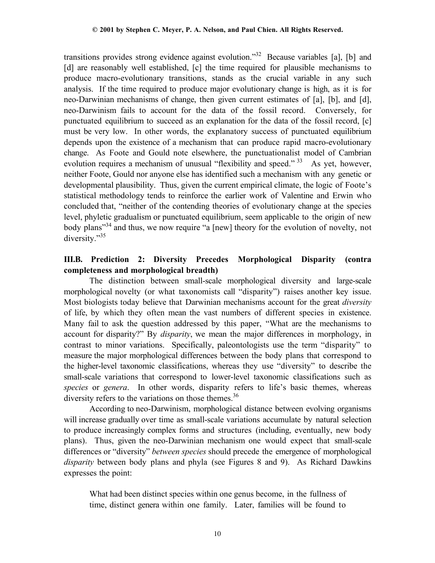transitions provides strong evidence against evolution.<sup>32</sup> Because variables [a], [b] and [d] are reasonably well established, [c] the time required for plausible mechanisms to produce macro-evolutionary transitions, stands as the crucial variable in any such analysis. If the time required to produce major evolutionary change is high, as it is for neo-Darwinian mechanisms of change, then given current estimates of [a], [b], and [d], neo-Darwinism fails to account for the data of the fossil record. Conversely, for punctuated equilibrium to succeed as an explanation for the data of the fossil record, [c] must be very low. In other words, the explanatory success of punctuated equilibrium depends upon the existence of a mechanism that can produce rapid macro-evolutionary change. As Foote and Gould note elsewhere, the punctuationalist model of Cambrian evolution requires a mechanism of unusual "flexibility and speed."<sup>33</sup> As yet, however, neither Foote, Gould nor anyone else has identified such a mechanism with any genetic or developmental plausibility. Thus, given the current empirical climate, the logic of Foote's statistical methodology tends to reinforce the earlier work of Valentine and Erwin who concluded that, "neither of the contending theories of evolutionary change at the species level, phyletic gradualism or punctuated equilibrium, seem applicable to the origin of new body plans<sup>34</sup> and thus, we now require "a [new] theory for the evolution of novelty, not diversity."<sup>35</sup>

# **III.B. Prediction 2: Diversity Precedes Morphological Disparity (contra completeness and morphological breadth)**

The distinction between small-scale morphological diversity and large-scale morphological novelty (or what taxonomists call "disparity") raises another key issue. Most biologists today believe that Darwinian mechanisms account for the great *diversity* of life, by which they often mean the vast numbers of different species in existence. Many fail to ask the question addressed by this paper, "What are the mechanisms to account for disparity?" By *disparity*, we mean the major differences in morphology, in contrast to minor variations. Specifically, paleontologists use the term "disparity" to measure the major morphological differences between the body plans that correspond to the higher-level taxonomic classifications, whereas they use "diversity" to describe the small-scale variations that correspond to lower-level taxonomic classifications such as *species* or *genera*. In other words, disparity refers to life's basic themes, whereas diversity refers to the variations on those themes.<sup>36</sup>

According to neo-Darwinism, morphological distance between evolving organisms will increase gradually over time as small-scale variations accumulate by natural selection to produce increasingly complex forms and structures (including, eventually, new body plans). Thus, given the neo-Darwinian mechanism one would expect that small-scale differences or "diversity" *between species* should precede the emergence of morphological *disparity* between body plans and phyla (see Figures 8 and 9). As Richard Dawkins expresses the point:

What had been distinct species within one genus become, in the fullness of time, distinct genera within one family. Later, families will be found to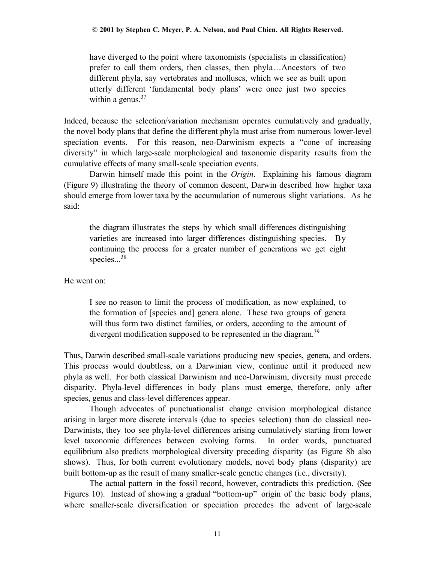have diverged to the point where taxonomists (specialists in classification) prefer to call them orders, then classes, then phyla…Ancestors of two different phyla, say vertebrates and molluscs, which we see as built upon utterly different 'fundamental body plans' were once just two species within a genus. $37$ 

Indeed, because the selection/variation mechanism operates cumulatively and gradually, the novel body plans that define the different phyla must arise from numerous lower-level speciation events. For this reason, neo-Darwinism expects a "cone of increasing diversity" in which large-scale morphological and taxonomic disparity results from the cumulative effects of many small-scale speciation events.

Darwin himself made this point in the *Origin*. Explaining his famous diagram (Figure 9) illustrating the theory of common descent, Darwin described how higher taxa should emerge from lower taxa by the accumulation of numerous slight variations. As he said:

the diagram illustrates the steps by which small differences distinguishing varieties are increased into larger differences distinguishing species. By continuing the process for a greater number of generations we get eight species...<sup>38</sup>

He went on:

I see no reason to limit the process of modification, as now explained, to the formation of [species and] genera alone. These two groups of genera will thus form two distinct families, or orders, according to the amount of divergent modification supposed to be represented in the diagram.<sup>39</sup>

Thus, Darwin described small-scale variations producing new species, genera, and orders. This process would doubtless, on a Darwinian view, continue until it produced new phyla as well. For both classical Darwinism and neo-Darwinism, diversity must precede disparity. Phyla-level differences in body plans must emerge, therefore, only after species, genus and class-level differences appear.

Though advocates of punctuationalist change envision morphological distance arising in larger more discrete intervals (due to species selection) than do classical neo-Darwinists, they too see phyla-level differences arising cumulatively starting from lower level taxonomic differences between evolving forms. In order words, punctuated equilibrium also predicts morphological diversity preceding disparity (as Figure 8b also shows). Thus, for both current evolutionary models, novel body plans (disparity) are built bottom-up as the result of many smaller-scale genetic changes (i.e., diversity).

The actual pattern in the fossil record, however, contradicts this prediction. (See Figures 10). Instead of showing a gradual "bottom-up" origin of the basic body plans, where smaller-scale diversification or speciation precedes the advent of large-scale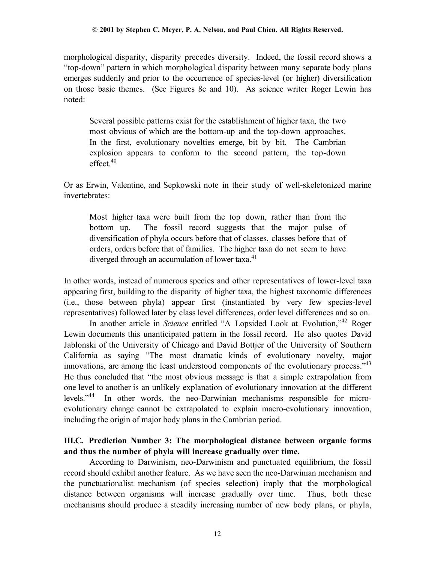morphological disparity, disparity precedes diversity. Indeed, the fossil record shows a "top-down" pattern in which morphological disparity between many separate body plans emerges suddenly and prior to the occurrence of species-level (or higher) diversification on those basic themes. (See Figures 8c and 10). As science writer Roger Lewin has noted:

Several possible patterns exist for the establishment of higher taxa, the two most obvious of which are the bottom-up and the top-down approaches. In the first, evolutionary novelties emerge, bit by bit. The Cambrian explosion appears to conform to the second pattern, the top-down  $effect.<sup>40</sup>$ 

Or as Erwin, Valentine, and Sepkowski note in their study of well-skeletonized marine invertebrates:

Most higher taxa were built from the top down, rather than from the bottom up. The fossil record suggests that the major pulse of diversification of phyla occurs before that of classes, classes before that of orders, orders before that of families. The higher taxa do not seem to have diverged through an accumulation of lower taxa.<sup>41</sup>

In other words, instead of numerous species and other representatives of lower-level taxa appearing first, building to the disparity of higher taxa, the highest taxonomic differences (i.e., those between phyla) appear first (instantiated by very few species-level representatives) followed later by class level differences, order level differences and so on.

In another article in *Science* entitled "A Lopsided Look at Evolution,"42 Roger Lewin documents this unanticipated pattern in the fossil record. He also quotes David Jablonski of the University of Chicago and David Bottjer of the University of Southern California as saying "The most dramatic kinds of evolutionary novelty, major innovations, are among the least understood components of the evolutionary process." $43$ He thus concluded that "the most obvious message is that a simple extrapolation from one level to another is an unlikely explanation of evolutionary innovation at the different levels."44 In other words, the neo-Darwinian mechanisms responsible for microevolutionary change cannot be extrapolated to explain macro-evolutionary innovation, including the origin of major body plans in the Cambrian period.

# **III.C. Prediction Number 3: The morphological distance between organic forms and thus the number of phyla will increase gradually over time.**

According to Darwinism, neo-Darwinism and punctuated equilibrium, the fossil record should exhibit another feature. As we have seen the neo-Darwinian mechanism and the punctuationalist mechanism (of species selection) imply that the morphological distance between organisms will increase gradually over time. Thus, both these mechanisms should produce a steadily increasing number of new body plans, or phyla,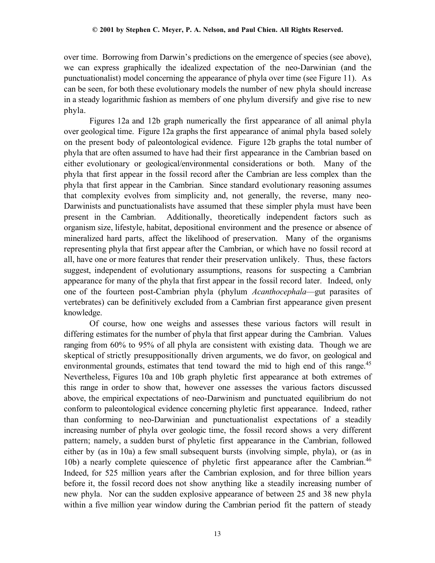over time. Borrowing from Darwin's predictions on the emergence of species (see above), we can express graphically the idealized expectation of the neo-Darwinian (and the punctuationalist) model concerning the appearance of phyla over time (see Figure 11). As can be seen, for both these evolutionary models the number of new phyla should increase in a steady logarithmic fashion as members of one phylum diversify and give rise to new phyla.

Figures 12a and 12b graph numerically the first appearance of all animal phyla over geological time. Figure 12a graphs the first appearance of animal phyla based solely on the present body of paleontological evidence. Figure 12b graphs the total number of phyla that are often assumed to have had their first appearance in the Cambrian based on either evolutionary or geological/environmental considerations or both. Many of the phyla that first appear in the fossil record after the Cambrian are less complex than the phyla that first appear in the Cambrian. Since standard evolutionary reasoning assumes that complexity evolves from simplicity and, not generally, the reverse, many neo-Darwinists and punctuationalists have assumed that these simpler phyla must have been present in the Cambrian. Additionally, theoretically independent factors such as organism size, lifestyle, habitat, depositional environment and the presence or absence of mineralized hard parts, affect the likelihood of preservation. Many of the organisms representing phyla that first appear after the Cambrian, or which have no fossil record at all, have one or more features that render their preservation unlikely. Thus, these factors suggest, independent of evolutionary assumptions, reasons for suspecting a Cambrian appearance for many of the phyla that first appear in the fossil record later. Indeed, only one of the fourteen post-Cambrian phyla (phylum *Acanthocephala*—gut parasites of vertebrates) can be definitively excluded from a Cambrian first appearance given present knowledge.

Of course, how one weighs and assesses these various factors will result in differing estimates for the number of phyla that first appear during the Cambrian. Values ranging from 60% to 95% of all phyla are consistent with existing data. Though we are skeptical of strictly presuppositionally driven arguments, we do favor, on geological and environmental grounds, estimates that tend toward the mid to high end of this range.<sup>45</sup> Nevertheless, Figures 10a and 10b graph phyletic first appearance at both extremes of this range in order to show that, however one assesses the various factors discussed above, the empirical expectations of neo-Darwinism and punctuated equilibrium do not conform to paleontological evidence concerning phyletic first appearance. Indeed, rather than conforming to neo-Darwinian and punctuationalist expectations of a steadily increasing number of phyla over geologic time, the fossil record shows a very different pattern; namely, a sudden burst of phyletic first appearance in the Cambrian, followed either by (as in 10a) a few small subsequent bursts (involving simple, phyla), or (as in 10b) a nearly complete quiescence of phyletic first appearance after the Cambrian.<sup>46</sup> Indeed, for 525 million years after the Cambrian explosion, and for three billion years before it, the fossil record does not show anything like a steadily increasing number of new phyla. Nor can the sudden explosive appearance of between 25 and 38 new phyla within a five million year window during the Cambrian period fit the pattern of steady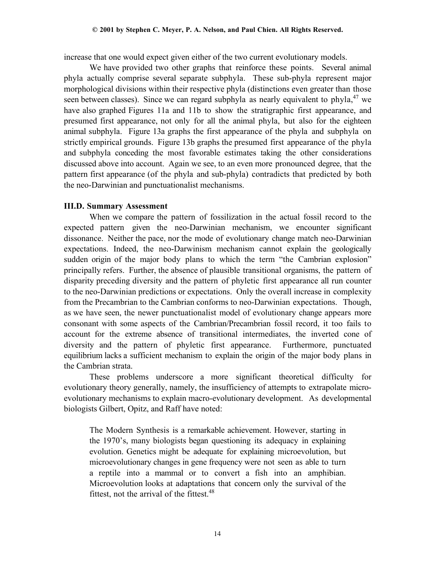increase that one would expect given either of the two current evolutionary models.

We have provided two other graphs that reinforce these points. Several animal phyla actually comprise several separate subphyla.These sub-phyla represent major morphological divisions within their respective phyla (distinctions even greater than those seen between classes). Since we can regard subphyla as nearly equivalent to phyla, $47$  we have also graphed Figures 11a and 11b to show the stratigraphic first appearance, and presumed first appearance, not only for all the animal phyla, but also for the eighteen animal subphyla. Figure 13a graphs the first appearance of the phyla and subphyla on strictly empirical grounds. Figure 13b graphs the presumed first appearance of the phyla and subphyla conceding the most favorable estimates taking the other considerations discussed above into account. Again we see, to an even more pronounced degree, that the pattern first appearance (of the phyla and sub-phyla) contradicts that predicted by both the neo-Darwinian and punctuationalist mechanisms.

### **III.D. Summary Assessment**

When we compare the pattern of fossilization in the actual fossil record to the expected pattern given the neo-Darwinian mechanism, we encounter significant dissonance. Neither the pace, nor the mode of evolutionary change match neo-Darwinian expectations. Indeed, the neo-Darwinism mechanism cannot explain the geologically sudden origin of the major body plans to which the term "the Cambrian explosion" principally refers. Further, the absence of plausible transitional organisms, the pattern of disparity preceding diversity and the pattern of phyletic first appearance all run counter to the neo-Darwinian predictions or expectations. Only the overall increase in complexity from the Precambrian to the Cambrian conforms to neo-Darwinian expectations. Though, as we have seen, the newer punctuationalist model of evolutionary change appears more consonant with some aspects of the Cambrian/Precambrian fossil record, it too fails to account for the extreme absence of transitional intermediates, the inverted cone of diversity and the pattern of phyletic first appearance. Furthermore, punctuated equilibrium lacks a sufficient mechanism to explain the origin of the major body plans in the Cambrian strata.

These problems underscore a more significant theoretical difficulty for evolutionary theory generally, namely, the insufficiency of attempts to extrapolate microevolutionary mechanisms to explain macro-evolutionary development. As developmental biologists Gilbert, Opitz, and Raff have noted:

The Modern Synthesis is a remarkable achievement. However, starting in the 1970's, many biologists began questioning its adequacy in explaining evolution. Genetics might be adequate for explaining microevolution, but microevolutionary changes in gene frequency were not seen as able to turn a reptile into a mammal or to convert a fish into an amphibian. Microevolution looks at adaptations that concern only the survival of the fittest, not the arrival of the fittest. $48$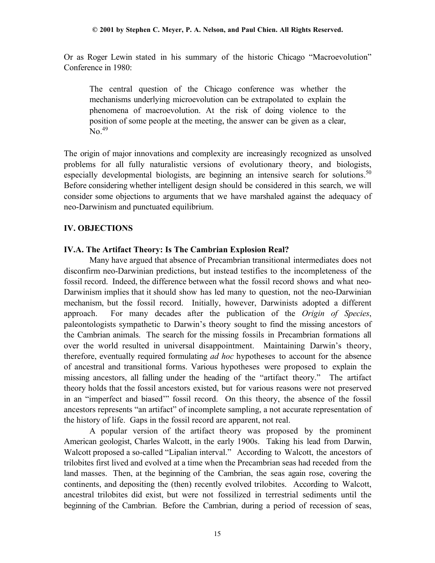Or as Roger Lewin stated in his summary of the historic Chicago "Macroevolution" Conference in 1980:

The central question of the Chicago conference was whether the mechanisms underlying microevolution can be extrapolated to explain the phenomena of macroevolution. At the risk of doing violence to the position of some people at the meeting, the answer can be given as a clear,  $No.<sup>49</sup>$ 

The origin of major innovations and complexity are increasingly recognized as unsolved problems for all fully naturalistic versions of evolutionary theory, and biologists, especially developmental biologists, are beginning an intensive search for solutions.<sup>50</sup> Before considering whether intelligent design should be considered in this search, we will consider some objections to arguments that we have marshaled against the adequacy of neo-Darwinism and punctuated equilibrium.

# **IV. OBJECTIONS**

# **IV.A. The Artifact Theory: Is The Cambrian Explosion Real?**

Many have argued that absence of Precambrian transitional intermediates does not disconfirm neo-Darwinian predictions, but instead testifies to the incompleteness of the fossil record. Indeed, the difference between what the fossil record shows and what neo-Darwinism implies that it should show has led many to question, not the neo-Darwinian mechanism, but the fossil record. Initially, however, Darwinists adopted a different approach. For many decades after the publication of the *Origin of Species*, paleontologists sympathetic to Darwin's theory sought to find the missing ancestors of the Cambrian animals. The search for the missing fossils in Precambrian formations all over the world resulted in universal disappointment. Maintaining Darwin's theory, therefore, eventually required formulating *ad hoc* hypotheses to account for the absence of ancestral and transitional forms. Various hypotheses were proposed to explain the missing ancestors, all falling under the heading of the "artifact theory." The artifact theory holds that the fossil ancestors existed, but for various reasons were not preserved in an "imperfect and biased'" fossil record. On this theory, the absence of the fossil ancestors represents "an artifact" of incomplete sampling, a not accurate representation of the history of life. Gaps in the fossil record are apparent, not real.

A popular version of the artifact theory was proposed by the prominent American geologist, Charles Walcott, in the early 1900s. Taking his lead from Darwin, Walcott proposed a so-called "Lipalian interval." According to Walcott, the ancestors of trilobites first lived and evolved at a time when the Precambrian seas had receded from the land masses. Then, at the beginning of the Cambrian, the seas again rose, covering the continents, and depositing the (then) recently evolved trilobites. According to Walcott, ancestral trilobites did exist, but were not fossilized in terrestrial sediments until the beginning of the Cambrian. Before the Cambrian, during a period of recession of seas,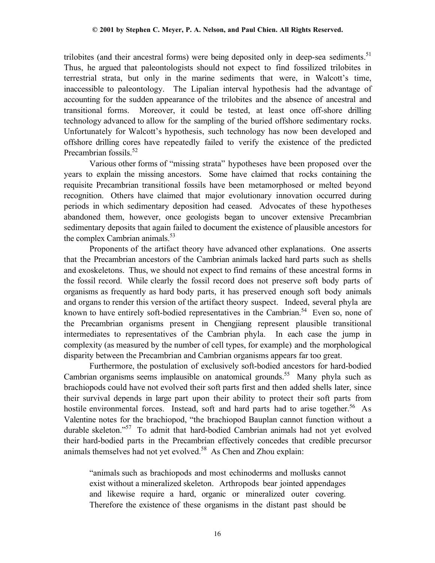trilobites (and their ancestral forms) were being deposited only in deep-sea sediments.<sup>51</sup> Thus, he argued that paleontologists should not expect to find fossilized trilobites in terrestrial strata, but only in the marine sediments that were, in Walcott's time, inaccessible to paleontology. The Lipalian interval hypothesis had the advantage of accounting for the sudden appearance of the trilobites and the absence of ancestral and transitional forms. Moreover, it could be tested, at least once off-shore drilling technology advanced to allow for the sampling of the buried offshore sedimentary rocks. Unfortunately for Walcott's hypothesis, such technology has now been developed and offshore drilling cores have repeatedly failed to verify the existence of the predicted Precambrian fossils.<sup>52</sup>

Various other forms of "missing strata" hypotheses have been proposed over the years to explain the missing ancestors. Some have claimed that rocks containing the requisite Precambrian transitional fossils have been metamorphosed or melted beyond recognition. Others have claimed that major evolutionary innovation occurred during periods in which sedimentary deposition had ceased. Advocates of these hypotheses abandoned them, however, once geologists began to uncover extensive Precambrian sedimentary deposits that again failed to document the existence of plausible ancestors for the complex Cambrian animals.<sup>53</sup>

Proponents of the artifact theory have advanced other explanations. One asserts that the Precambrian ancestors of the Cambrian animals lacked hard parts such as shells and exoskeletons. Thus, we should not expect to find remains of these ancestral forms in the fossil record. While clearly the fossil record does not preserve soft body parts of organisms as frequently as hard body parts, it has preserved enough soft body animals and organs to render this version of the artifact theory suspect. Indeed, several phyla are known to have entirely soft-bodied representatives in the Cambrian.<sup>54</sup> Even so, none of the Precambrian organisms present in Chengjiang represent plausible transitional intermediates to representatives of the Cambrian phyla. In each case the jump in complexity (as measured by the number of cell types, for example) and the morphological disparity between the Precambrian and Cambrian organisms appears far too great.

Furthermore, the postulation of exclusively soft-bodied ancestors for hard-bodied Cambrian organisms seems implausible on anatomical grounds.<sup>55</sup> Many phyla such as brachiopods could have not evolved their soft parts first and then added shells later, since their survival depends in large part upon their ability to protect their soft parts from hostile environmental forces. Instead, soft and hard parts had to arise together.<sup>56</sup> As Valentine notes for the brachiopod, "the brachiopod Bauplan cannot function without a durable skeleton."57 To admit that hard-bodied Cambrian animals had not yet evolved their hard-bodied parts in the Precambrian effectively concedes that credible precursor animals themselves had not yet evolved.58 As Chen and Zhou explain:

"animals such as brachiopods and most echinoderms and mollusks cannot exist without a mineralized skeleton. Arthropods bear jointed appendages and likewise require a hard, organic or mineralized outer covering. Therefore the existence of these organisms in the distant past should be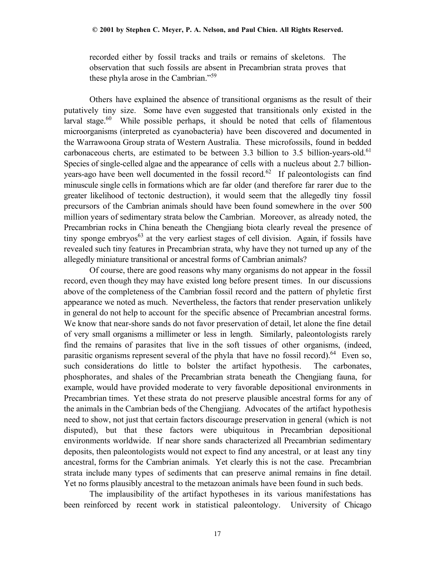recorded either by fossil tracks and trails or remains of skeletons. The observation that such fossils are absent in Precambrian strata proves that these phyla arose in the Cambrian."<sup>59</sup>

Others have explained the absence of transitional organisms as the result of their putatively tiny size. Some have even suggested that transitionals only existed in the larval stage. $60$  While possible perhaps, it should be noted that cells of filamentous microorganisms (interpreted as cyanobacteria) have been discovered and documented in the Warrawoona Group strata of Western Australia. These microfossils, found in bedded carbonaceous cherts, are estimated to be between 3.3 billion to 3.5 billion-years-old. $61$ Species of single-celled algae and the appearance of cells with a nucleus about 2.7 billionyears-ago have been well documented in the fossil record.<sup>62</sup> If paleontologists can find minuscule single cells in formations which are far older (and therefore far rarer due to the greater likelihood of tectonic destruction), it would seem that the allegedly tiny fossil precursors of the Cambrian animals should have been found somewhere in the over 500 million years of sedimentary strata below the Cambrian. Moreover, as already noted, the Precambrian rocks in China beneath the Chengjiang biota clearly reveal the presence of tiny sponge embryos<sup>63</sup> at the very earliest stages of cell division. Again, if fossils have revealed such tiny features in Precambrian strata, why have they not turned up any of the allegedly miniature transitional or ancestral forms of Cambrian animals?

Of course, there are good reasons why many organisms do not appear in the fossil record, even though they may have existed long before present times. In our discussions above of the completeness of the Cambrian fossil record and the pattern of phyletic first appearance we noted as much. Nevertheless, the factors that render preservation unlikely in general do not help to account for the specific absence of Precambrian ancestral forms. We know that near-shore sands do not favor preservation of detail, let alone the fine detail of very small organisms a millimeter or less in length. Similarly, paleontologists rarely find the remains of parasites that live in the soft tissues of other organisms, (indeed, parasitic organisms represent several of the phyla that have no fossil record).<sup>64</sup> Even so, such considerations do little to bolster the artifact hypothesis. The carbonates, phosphorates, and shales of the Precambrian strata beneath the Chengjiang fauna, for example, would have provided moderate to very favorable depositional environments in Precambrian times. Yet these strata do not preserve plausible ancestral forms for any of the animals in the Cambrian beds of the Chengjiang. Advocates of the artifact hypothesis need to show, not just that certain factors discourage preservation in general (which is not disputed), but that these factors were ubiquitous in Precambrian depositional environments worldwide. If near shore sands characterized all Precambrian sedimentary deposits, then paleontologists would not expect to find any ancestral, or at least any tiny ancestral, forms for the Cambrian animals. Yet clearly this is not the case. Precambrian strata include many types of sediments that can preserve animal remains in fine detail. Yet no forms plausibly ancestral to the metazoan animals have been found in such beds.

The implausibility of the artifact hypotheses in its various manifestations has been reinforced by recent work in statistical paleontology. University of Chicago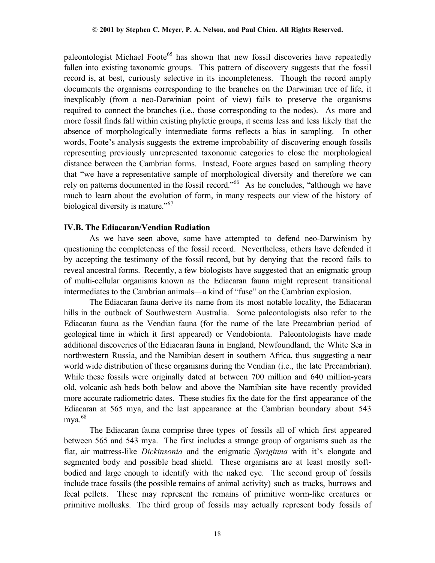paleontologist Michael Foote<sup>65</sup> has shown that new fossil discoveries have repeatedly fallen into existing taxonomic groups. This pattern of discovery suggests that the fossil record is, at best, curiously selective in its incompleteness. Though the record amply documents the organisms corresponding to the branches on the Darwinian tree of life, it inexplicably (from a neo-Darwinian point of view) fails to preserve the organisms required to connect the branches (i.e., those corresponding to the nodes). As more and more fossil finds fall within existing phyletic groups, it seems less and less likely that the absence of morphologically intermediate forms reflects a bias in sampling. In other words, Foote's analysis suggests the extreme improbability of discovering enough fossils representing previously unrepresented taxonomic categories to close the morphological distance between the Cambrian forms. Instead, Foote argues based on sampling theory that "we have a representative sample of morphological diversity and therefore we can rely on patterns documented in the fossil record."66 As he concludes, "although we have much to learn about the evolution of form, in many respects our view of the history of biological diversity is mature."<sup>67</sup>

### **IV.B. The Ediacaran/Vendian Radiation**

 As we have seen above, some have attempted to defend neo-Darwinism by questioning the completeness of the fossil record. Nevertheless, others have defended it by accepting the testimony of the fossil record, but by denying that the record fails to reveal ancestral forms. Recently, a few biologists have suggested that an enigmatic group of multi-cellular organisms known as the Ediacaran fauna might represent transitional intermediates to the Cambrian animals—a kind of "fuse" on the Cambrian explosion.

The Ediacaran fauna derive its name from its most notable locality, the Ediacaran hills in the outback of Southwestern Australia. Some paleontologists also refer to the Ediacaran fauna as the Vendian fauna (for the name of the late Precambrian period of geological time in which it first appeared) or Vendobionta. Paleontologists have made additional discoveries of the Ediacaran fauna in England, Newfoundland, the White Sea in northwestern Russia, and the Namibian desert in southern Africa, thus suggesting a near world wide distribution of these organisms during the Vendian (i.e., the late Precambrian). While these fossils were originally dated at between 700 million and 640 million-years old, volcanic ash beds both below and above the Namibian site have recently provided more accurate radiometric dates. These studies fix the date for the first appearance of the Ediacaran at 565 mya, and the last appearance at the Cambrian boundary about 543 mya.<sup>68</sup>

The Ediacaran fauna comprise three types of fossils all of which first appeared between 565 and 543 mya. The first includes a strange group of organisms such as the flat, air mattress-like *Dickinsonia* and the enigmatic *Spriginna* with it's elongate and segmented body and possible head shield. These organisms are at least mostly softbodied and large enough to identify with the naked eye. The second group of fossils include trace fossils (the possible remains of animal activity) such as tracks, burrows and fecal pellets. These may represent the remains of primitive worm-like creatures or primitive mollusks. The third group of fossils may actually represent body fossils of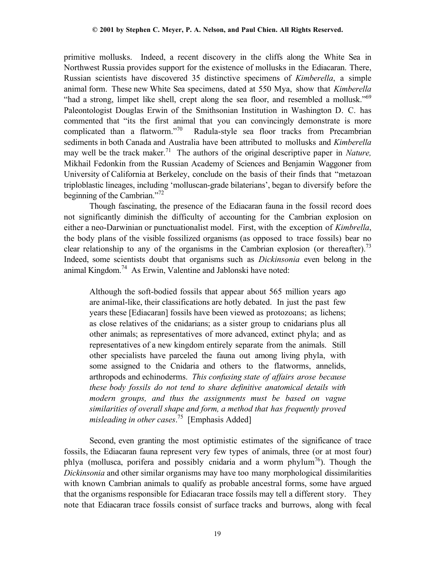primitive mollusks. Indeed, a recent discovery in the cliffs along the White Sea in Northwest Russia provides support for the existence of mollusks in the Ediacaran. There, Russian scientists have discovered 35 distinctive specimens of *Kimberella*, a simple animal form. These new White Sea specimens, dated at 550 Mya, show that *Kimberella* "had a strong, limpet like shell, crept along the sea floor, and resembled a mollusk." $69$ Paleontologist Douglas Erwin of the Smithsonian Institution in Washington D. C. has commented that "its the first animal that you can convincingly demonstrate is more complicated than a flatworm."70 Radula-style sea floor tracks from Precambrian sediments in both Canada and Australia have been attributed to mollusks and *Kimberella* may well be the track maker.<sup>71</sup> The authors of the original descriptive paper in *Nature*, Mikhail Fedonkin from the Russian Academy of Sciences and Benjamin Waggoner from University of California at Berkeley, conclude on the basis of their finds that "metazoan triploblastic lineages, including 'molluscan-grade bilaterians', began to diversify before the beginning of the Cambrian."<sup>72</sup>

Though fascinating, the presence of the Ediacaran fauna in the fossil record does not significantly diminish the difficulty of accounting for the Cambrian explosion on either a neo-Darwinian or punctuationalist model. First, with the exception of *Kimbrella*, the body plans of the visible fossilized organisms (as opposed to trace fossils) bear no clear relationship to any of the organisms in the Cambrian explosion (or thereafter).<sup>73</sup> Indeed, some scientists doubt that organisms such as *Dickinsonia* even belong in the animal Kingdom.<sup>74</sup> As Erwin, Valentine and Jablonski have noted:

Although the soft-bodied fossils that appear about 565 million years ago are animal-like, their classifications are hotly debated. In just the past few years these [Ediacaran] fossils have been viewed as protozoans; as lichens; as close relatives of the cnidarians; as a sister group to cnidarians plus all other animals; as representatives of more advanced, extinct phyla; and as representatives of a new kingdom entirely separate from the animals. Still other specialists have parceled the fauna out among living phyla, with some assigned to the Cnidaria and others to the flatworms, annelids, arthropods and echinoderms. *This confusing state of affairs arose because these body fossils do not tend to share definitive anatomical details with modern groups, and thus the assignments must be based on vague similarities of overall shape and form, a method that has frequently proved misleading in other cases*. 75 [Emphasis Added]

Second, even granting the most optimistic estimates of the significance of trace fossils, the Ediacaran fauna represent very few types of animals, three (or at most four) phlya (mollusca, porifera and possibly cnidaria and a worm phylum<sup>76</sup>). Though the *Dickinsonia* and other similar organisms may have too many morphological dissimilarities with known Cambrian animals to qualify as probable ancestral forms, some have argued that the organisms responsible for Ediacaran trace fossils may tell a different story. They note that Ediacaran trace fossils consist of surface tracks and burrows, along with fecal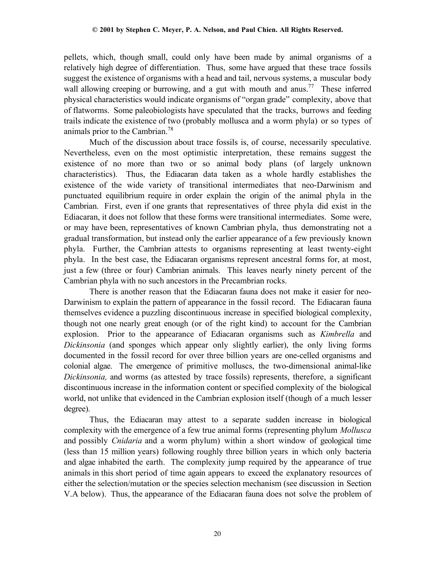pellets, which, though small, could only have been made by animal organisms of a relatively high degree of differentiation. Thus, some have argued that these trace fossils suggest the existence of organisms with a head and tail, nervous systems, a muscular body wall allowing creeping or burrowing, and a gut with mouth and anus.<sup>77</sup> These inferred physical characteristics would indicate organisms of "organ grade" complexity, above that of flatworms. Some paleobiologists have speculated that the tracks, burrows and feeding trails indicate the existence of two (probably mollusca and a worm phyla) or so types of animals prior to the Cambrian.78

Much of the discussion about trace fossils is, of course, necessarily speculative. Nevertheless, even on the most optimistic interpretation, these remains suggest the existence of no more than two or so animal body plans (of largely unknown characteristics). Thus, the Ediacaran data taken as a whole hardly establishes the existence of the wide variety of transitional intermediates that neo-Darwinism and punctuated equilibrium require in order explain the origin of the animal phyla in the Cambrian. First, even if one grants that representatives of three phyla did exist in the Ediacaran, it does not follow that these forms were transitional intermediates. Some were, or may have been, representatives of known Cambrian phyla, thus demonstrating not a gradual transformation, but instead only the earlier appearance of a few previously known phyla. Further, the Cambrian attests to organisms representing at least twenty-eight phyla. In the best case, the Ediacaran organisms represent ancestral forms for, at most, just a few (three or four) Cambrian animals.This leaves nearly ninety percent of the Cambrian phyla with no such ancestors in the Precambrian rocks.

There is another reason that the Ediacaran fauna does not make it easier for neo-Darwinism to explain the pattern of appearance in the fossil record. The Ediacaran fauna themselves evidence a puzzling discontinuous increase in specified biological complexity, though not one nearly great enough (or of the right kind) to account for the Cambrian explosion. Prior to the appearance of Ediacaran organisms such as *Kimbrella* and *Dickinsonia* (and sponges which appear only slightly earlier), the only living forms documented in the fossil record for over three billion years are one-celled organisms and colonial algae. The emergence of primitive molluscs, the two-dimensional animal-like *Dickinsonia,* and worms (as attested by trace fossils) represents, therefore, a significant discontinuous increase in the information content or specified complexity of the biological world, not unlike that evidenced in the Cambrian explosion itself (though of a much lesser degree).

Thus, the Ediacaran may attest to a separate sudden increase in biological complexity with the emergence of a few true animal forms (representing phylum *Mollusca* and possibly *Cnidaria* and a worm phylum) within a short window of geological time (less than 15 million years) following roughly three billion years in which only bacteria and algae inhabited the earth. The complexity jump required by the appearance of true animals in this short period of time again appears to exceed the explanatory resources of either the selection/mutation or the species selection mechanism (see discussion in Section V.A below). Thus, the appearance of the Ediacaran fauna does not solve the problem of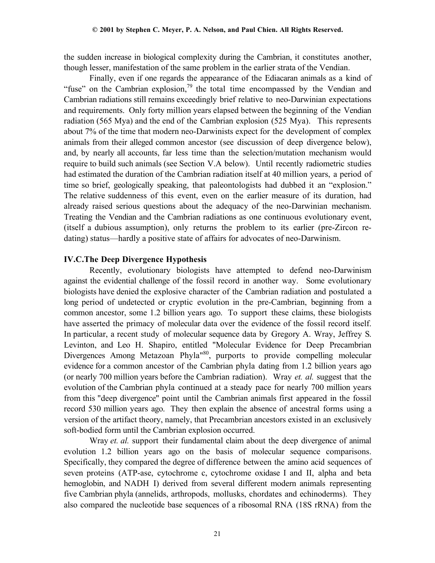the sudden increase in biological complexity during the Cambrian, it constitutes another, though lesser, manifestation of the same problem in the earlier strata of the Vendian.

Finally, even if one regards the appearance of the Ediacaran animals as a kind of "fuse" on the Cambrian explosion, $79$  the total time encompassed by the Vendian and Cambrian radiations still remains exceedingly brief relative to neo-Darwinian expectations and requirements. Only forty million years elapsed between the beginning of the Vendian radiation (565 Mya) and the end of the Cambrian explosion (525 Mya). This represents about 7% of the time that modern neo-Darwinists expect for the development of complex animals from their alleged common ancestor (see discussion of deep divergence below), and, by nearly all accounts, far less time than the selection/mutation mechanism would require to build such animals (see Section V.A below). Until recently radiometric studies had estimated the duration of the Cambrian radiation itself at 40 million years, a period of time so brief, geologically speaking, that paleontologists had dubbed it an "explosion." The relative suddenness of this event, even on the earlier measure of its duration, had already raised serious questions about the adequacy of the neo-Darwinian mechanism. Treating the Vendian and the Cambrian radiations as one continuous evolutionary event, (itself a dubious assumption), only returns the problem to its earlier (pre-Zircon redating) status—hardly a positive state of affairs for advocates of neo-Darwinism.

### **IV.C.The Deep Divergence Hypothesis**

Recently, evolutionary biologists have attempted to defend neo-Darwinism against the evidential challenge of the fossil record in another way. Some evolutionary biologists have denied the explosive character of the Cambrian radiation and postulated a long period of undetected or cryptic evolution in the pre-Cambrian, beginning from a common ancestor, some 1.2 billion years ago. To support these claims, these biologists have asserted the primacy of molecular data over the evidence of the fossil record itself. In particular, a recent study of molecular sequence data by Gregory A. Wray, Jeffrey S. Levinton, and Leo H. Shapiro, entitled "Molecular Evidence for Deep Precambrian Divergences Among Metazoan Phyla<sup>"80</sup>, purports to provide compelling molecular evidence for a common ancestor of the Cambrian phyla dating from 1.2 billion years ago (or nearly 700 million years before the Cambrian radiation). Wray *et. al.* suggest that the evolution of the Cambrian phyla continued at a steady pace for nearly 700 million years from this "deep divergence" point until the Cambrian animals first appeared in the fossil record 530 million years ago. They then explain the absence of ancestral forms using a version of the artifact theory, namely, that Precambrian ancestors existed in an exclusively soft-bodied form until the Cambrian explosion occurred.

Wray *et. al.* support their fundamental claim about the deep divergence of animal evolution 1.2 billion years ago on the basis of molecular sequence comparisons. Specifically, they compared the degree of difference between the amino acid sequences of seven proteins (ATP-ase, cytochrome c, cytochrome oxidase I and II, alpha and beta hemoglobin, and NADH I) derived from several different modern animals representing five Cambrian phyla (annelids, arthropods, mollusks, chordates and echinoderms). They also compared the nucleotide base sequences of a ribosomal RNA (18S rRNA) from the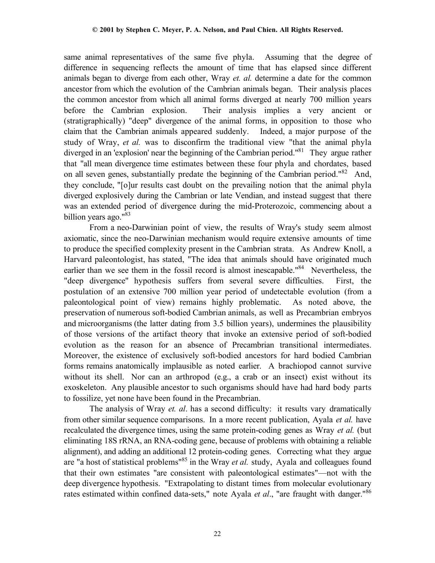same animal representatives of the same five phyla. Assuming that the degree of difference in sequencing reflects the amount of time that has elapsed since different animals began to diverge from each other, Wray *et. al.* determine a date for the common ancestor from which the evolution of the Cambrian animals began. Their analysis places the common ancestor from which all animal forms diverged at nearly 700 million years before the Cambrian explosion. Their analysis implies a very ancient or (stratigraphically) "deep" divergence of the animal forms, in opposition to those who claim that the Cambrian animals appeared suddenly. Indeed, a major purpose of the study of Wray, *et al.* was to disconfirm the traditional view "that the animal phyla diverged in an 'explosion' near the beginning of the Cambrian period."<sup>81</sup> They argue rather that "all mean divergence time estimates between these four phyla and chordates, based on all seven genes, substantially predate the beginning of the Cambrian period."<sup>82</sup> And, they conclude, "[o]ur results cast doubt on the prevailing notion that the animal phyla diverged explosively during the Cambrian or late Vendian, and instead suggest that there was an extended period of divergence during the mid-Proterozoic, commencing about a billion years ago."<sup>83</sup>

From a neo-Darwinian point of view, the results of Wray's study seem almost axiomatic, since the neo-Darwinian mechanism would require extensive amounts of time to produce the specified complexity present in the Cambrian strata. As Andrew Knoll, a Harvard paleontologist, has stated, "The idea that animals should have originated much earlier than we see them in the fossil record is almost inescapable."<sup>84</sup> Nevertheless, the "deep divergence" hypothesis suffers from several severe difficulties. First, the postulation of an extensive 700 million year period of undetectable evolution (from a paleontological point of view) remains highly problematic. As noted above, the preservation of numerous soft-bodied Cambrian animals, as well as Precambrian embryos and microorganisms (the latter dating from 3.5 billion years), undermines the plausibility of those versions of the artifact theory that invoke an extensive period of soft-bodied evolution as the reason for an absence of Precambrian transitional intermediates. Moreover, the existence of exclusively soft-bodied ancestors for hard bodied Cambrian forms remains anatomically implausible as noted earlier. A brachiopod cannot survive without its shell. Nor can an arthropod (e.g., a crab or an insect) exist without its exoskeleton. Any plausible ancestor to such organisms should have had hard body parts to fossilize, yet none have been found in the Precambrian.

The analysis of Wray *et. al*. has a second difficulty: it results vary dramatically from other similar sequence comparisons. In a more recent publication, Ayala *et al.* have recalculated the divergence times, using the same protein-coding genes as Wray *et al.* (but eliminating 18S rRNA, an RNA-coding gene, because of problems with obtaining a reliable alignment), and adding an additional 12 protein-coding genes. Correcting what they argue are "a host of statistical problems"85 in the Wray *et al.* study, Ayala and colleagues found that their own estimates "are consistent with paleontological estimates"—not with the deep divergence hypothesis. "Extrapolating to distant times from molecular evolutionary rates estimated within confined data-sets," note Ayala *et al*., "are fraught with danger."86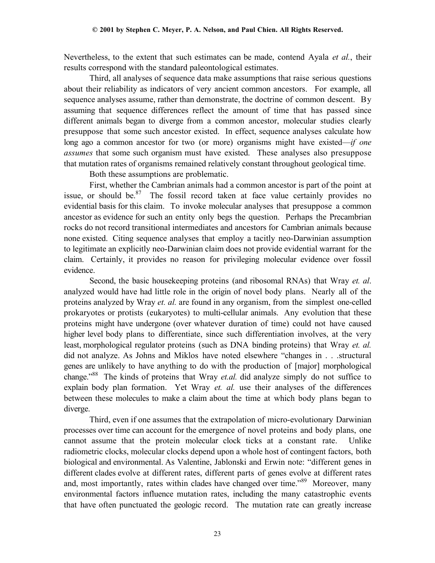Nevertheless, to the extent that such estimates can be made, contend Ayala *et al.*, their results correspond with the standard paleontological estimates.

Third, all analyses of sequence data make assumptions that raise serious questions about their reliability as indicators of very ancient common ancestors. For example, all sequence analyses assume, rather than demonstrate, the doctrine of common descent. By assuming that sequence differences reflect the amount of time that has passed since different animals began to diverge from a common ancestor, molecular studies clearly presuppose that some such ancestor existed. In effect, sequence analyses calculate how long ago a common ancestor for two (or more) organisms might have existed—*if one assumes* that some such organism must have existed. These analyses also presuppose that mutation rates of organisms remained relatively constant throughout geological time.

Both these assumptions are problematic.

First, whether the Cambrian animals had a common ancestor is part of the point at issue, or should be. $87$  The fossil record taken at face value certainly provides no evidential basis for this claim. To invoke molecular analyses that presuppose a common ancestor as evidence for such an entity only begs the question. Perhaps the Precambrian rocks do not record transitional intermediates and ancestors for Cambrian animals because none existed. Citing sequence analyses that employ a tacitly neo-Darwinian assumption to legitimate an explicitly neo-Darwinian claim does not provide evidential warrant for the claim. Certainly, it provides no reason for privileging molecular evidence over fossil evidence.

Second, the basic housekeeping proteins (and ribosomal RNAs) that Wray *et. al*. analyzed would have had little role in the origin of novel body plans. Nearly all of the proteins analyzed by Wray *et. al.* are found in any organism, from the simplest one-celled prokaryotes or protists (eukaryotes) to multi-cellular animals. Any evolution that these proteins might have undergone (over whatever duration of time) could not have caused higher level body plans to differentiate, since such differentiation involves, at the very least, morphological regulator proteins (such as DNA binding proteins) that Wray *et. al.* did not analyze. As Johns and Miklos have noted elsewhere "changes in . . .structural genes are unlikely to have anything to do with the production of [major] morphological change."88 The kinds of proteins that Wray *et.al.* did analyze simply do not suffice to explain body plan formation. Yet Wray *et. al.* use their analyses of the differences between these molecules to make a claim about the time at which body plans began to diverge.

Third, even if one assumes that the extrapolation of micro-evolutionary Darwinian processes over time can account for the emergence of novel proteins and body plans, one cannot assume that the protein molecular clock ticks at a constant rate. Unlike radiometric clocks, molecular clocks depend upon a whole host of contingent factors, both biological and environmental. As Valentine, Jablonski and Erwin note: "different genes in different clades evolve at different rates, different parts of genes evolve at different rates and, most importantly, rates within clades have changed over time."<sup>89</sup> Moreover, many environmental factors influence mutation rates, including the many catastrophic events that have often punctuated the geologic record. The mutation rate can greatly increase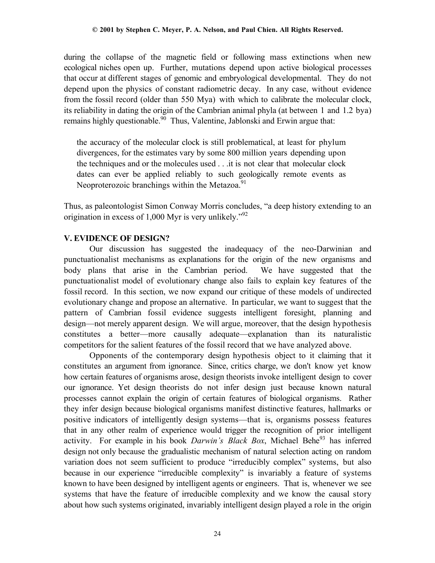during the collapse of the magnetic field or following mass extinctions when new ecological niches open up. Further, mutations depend upon active biological processes that occur at different stages of genomic and embryological developmental. They do not depend upon the physics of constant radiometric decay. In any case, without evidence from the fossil record (older than 550 Mya) with which to calibrate the molecular clock, its reliability in dating the origin of the Cambrian animal phyla (at between 1 and 1.2 bya) remains highly questionable.<sup>90</sup> Thus, Valentine, Jablonski and Erwin argue that:

the accuracy of the molecular clock is still problematical, at least for phylum divergences, for the estimates vary by some 800 million years depending upon the techniques and or the molecules used . . .it is not clear that molecular clock dates can ever be applied reliably to such geologically remote events as Neoproterozoic branchings within the Metazoa.<sup>91</sup>

Thus, as paleontologist Simon Conway Morris concludes, "a deep history extending to an origination in excess of 1,000 Myr is very unlikely."92

# **V. EVIDENCE OF DESIGN?**

Our discussion has suggested the inadequacy of the neo-Darwinian and punctuationalist mechanisms as explanations for the origin of the new organisms and body plans that arise in the Cambrian period. We have suggested that the punctuationalist model of evolutionary change also fails to explain key features of the fossil record. In this section, we now expand our critique of these models of undirected evolutionary change and propose an alternative. In particular, we want to suggest that the pattern of Cambrian fossil evidence suggests intelligent foresight, planning and design—not merely apparent design. We will argue, moreover, that the design hypothesis constitutes a better—more causally adequate—explanation than its naturalistic competitors for the salient features of the fossil record that we have analyzed above.

Opponents of the contemporary design hypothesis object to it claiming that it constitutes an argument from ignorance. Since, critics charge, we don't know yet know how certain features of organisms arose, design theorists invoke intelligent design to cover our ignorance. Yet design theorists do not infer design just because known natural processes cannot explain the origin of certain features of biological organisms. Rather they infer design because biological organisms manifest distinctive features, hallmarks or positive indicators of intelligently design systems—that is, organisms possess features that in any other realm of experience would trigger the recognition of prior intelligent activity. For example in his book *Darwin's Black Box*, Michael Behe<sup>93</sup> has inferred design not only because the gradualistic mechanism of natural selection acting on random variation does not seem sufficient to produce "irreducibly complex" systems, but also because in our experience "irreducible complexity" is invariably a feature of systems known to have been designed by intelligent agents or engineers. That is, whenever we see systems that have the feature of irreducible complexity and we know the causal story about how such systems originated, invariably intelligent design played a role in the origin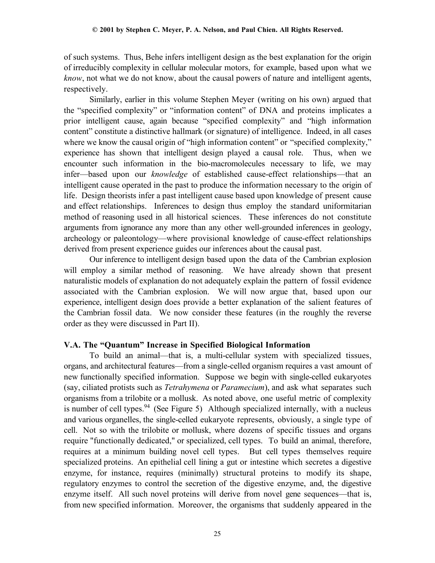of such systems. Thus, Behe infers intelligent design as the best explanation for the origin of irreducibly complexity in cellular molecular motors, for example, based upon what we *know*, not what we do not know, about the causal powers of nature and intelligent agents, respectively.

Similarly, earlier in this volume Stephen Meyer (writing on his own) argued that the "specified complexity" or "information content" of DNA and proteins implicates a prior intelligent cause, again because "specified complexity" and "high information content" constitute a distinctive hallmark (or signature) of intelligence. Indeed, in all cases where we know the causal origin of "high information content" or "specified complexity," experience has shown that intelligent design played a causal role. Thus, when we encounter such information in the bio-macromolecules necessary to life, we may infer—based upon our *knowledge* of established cause-effect relationships—that an intelligent cause operated in the past to produce the information necessary to the origin of life. Design theorists infer a past intelligent cause based upon knowledge of present cause and effect relationships. Inferences to design thus employ the standard uniformitarian method of reasoning used in all historical sciences. These inferences do not constitute arguments from ignorance any more than any other well-grounded inferences in geology, archeology or paleontology—where provisional knowledge of cause-effect relationships derived from present experience guides our inferences about the causal past.

Our inference to intelligent design based upon the data of the Cambrian explosion will employ a similar method of reasoning. We have already shown that present naturalistic models of explanation do not adequately explain the pattern of fossil evidence associated with the Cambrian explosion. We will now argue that, based upon our experience, intelligent design does provide a better explanation of the salient features of the Cambrian fossil data. We now consider these features (in the roughly the reverse order as they were discussed in Part II).

# **V.A. The "Quantum" Increase in Specified Biological Information**

To build an animal—that is, a multi-cellular system with specialized tissues, organs, and architectural features—from a single-celled organism requires a vast amount of new functionally specified information. Suppose we begin with single-celled eukaryotes (say, ciliated protists such as *Tetrahymena* or *Paramecium*), and ask what separates such organisms from a trilobite or a mollusk. As noted above, one useful metric of complexity is number of cell types.<sup>94</sup> (See Figure 5) Although specialized internally, with a nucleus and various organelles, the single-celled eukaryote represents, obviously, a single type of cell. Not so with the trilobite or mollusk, where dozens of specific tissues and organs require "functionally dedicated," or specialized, cell types. To build an animal, therefore, requires at a minimum building novel cell types. But cell types themselves require specialized proteins. An epithelial cell lining a gut or intestine which secretes a digestive enzyme, for instance, requires (minimally) structural proteins to modify its shape, regulatory enzymes to control the secretion of the digestive enzyme, and, the digestive enzyme itself. All such novel proteins will derive from novel gene sequences—that is, from new specified information. Moreover, the organisms that suddenly appeared in the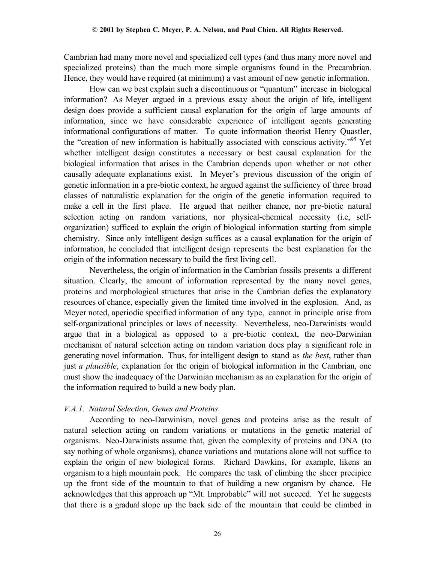Cambrian had many more novel and specialized cell types (and thus many more novel and specialized proteins) than the much more simple organisms found in the Precambrian. Hence, they would have required (at minimum) a vast amount of new genetic information.

How can we best explain such a discontinuous or "quantum" increase in biological information? As Meyer argued in a previous essay about the origin of life, intelligent design does provide a sufficient causal explanation for the origin of large amounts of information, since we have considerable experience of intelligent agents generating informational configurations of matter. To quote information theorist Henry Quastler, the "creation of new information is habitually associated with conscious activity."<sup>95</sup> Yet whether intelligent design constitutes a necessary or best causal explanation for the biological information that arises in the Cambrian depends upon whether or not other causally adequate explanations exist. In Meyer's previous discussion of the origin of genetic information in a pre-biotic context, he argued against the sufficiency of three broad classes of naturalistic explanation for the origin of the genetic information required to make a cell in the first place. He argued that neither chance, nor pre-biotic natural selection acting on random variations, nor physical-chemical necessity (i.e, selforganization) sufficed to explain the origin of biological information starting from simple chemistry. Since only intelligent design suffices as a causal explanation for the origin of information, he concluded that intelligent design represents the best explanation for the origin of the information necessary to build the first living cell.

Nevertheless, the origin of information in the Cambrian fossils presents a different situation. Clearly, the amount of information represented by the many novel genes, proteins and morphological structures that arise in the Cambrian defies the explanatory resources of chance, especially given the limited time involved in the explosion. And, as Meyer noted, aperiodic specified information of any type, cannot in principle arise from self-organizational principles or laws of necessity. Nevertheless, neo-Darwinists would argue that in a biological as opposed to a pre-biotic context, the neo-Darwinian mechanism of natural selection acting on random variation does play a significant role in generating novel information. Thus, for intelligent design to stand as *the best*, rather than just *a plausible*, explanation for the origin of biological information in the Cambrian, one must show the inadequacy of the Darwinian mechanism as an explanation for the origin of the information required to build a new body plan.

# *V.A.1. Natural Selection, Genes and Proteins*

According to neo-Darwinism, novel genes and proteins arise as the result of natural selection acting on random variations or mutations in the genetic material of organisms. Neo-Darwinists assume that, given the complexity of proteins and DNA (to say nothing of whole organisms), chance variations and mutations alone will not suffice to explain the origin of new biological forms. Richard Dawkins, for example, likens an organism to a high mountain peek. He compares the task of climbing the sheer precipice up the front side of the mountain to that of building a new organism by chance. He acknowledges that this approach up "Mt. Improbable" will not succeed. Yet he suggests that there is a gradual slope up the back side of the mountain that could be climbed in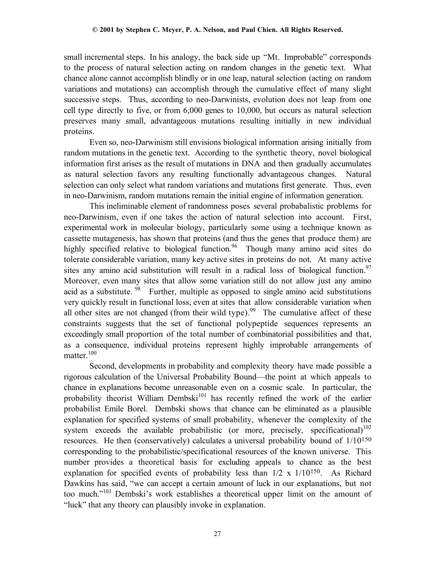small incremental steps. In his analogy, the back side up "Mt. Improbable" corresponds to the process of natural selection acting on random changes in the genetic text. What chance alone cannot accomplish blindly or in one leap, natural selection (acting on random variations and mutations) can accomplish through the cumulative effect of many slight successive steps. Thus, according to neo-Darwinists, evolution does not leap from one cell type directly to five, or from 6,000 genes to 10,000, but occurs as natural selection preserves many small, advantageous mutations resulting initially in new individual proteins.

Even so, neo-Darwinism still envisions biological information arising initially from random mutations in the genetic text. According to the synthetic theory, novel biological information first arises as the result of mutations in DNA and then gradually accumulates as natural selection favors any resulting functionally advantageous changes. Natural selection can only select what random variations and mutations first generate. Thus, even in neo-Darwinism, random mutations remain the initial engine of information generation.

This ineliminable element of randomness poses several probabalistic problems for neo-Darwinism, even if one takes the action of natural selection into account. First, experimental work in molecular biology, particularly some using a technique known as cassette mutagenesis, has shown that proteins (and thus the genes that produce them) are highly specified relative to biological function.<sup>96</sup> Though many amino acid sites do tolerate considerable variation, many key active sites in proteins do not. At many active sites any amino acid substitution will result in a radical loss of biological function.<sup>97</sup> Moreover, even many sites that allow some variation still do not allow just any amino acid as a substitute.  $98$  Further, multiple as opposed to single amino acid substitutions very quickly result in functional loss, even at sites that allow considerable variation when all other sites are not changed (from their wild type).<sup>99</sup> The cumulative affect of these constraints suggests that the set of functional polypeptide sequences represents an exceedingly small proportion of the total number of combinatorial possibilities and that, as a consequence, individual proteins represent highly improbable arrangements of matter.<sup>100</sup>

Second, developments in probability and complexity theory have made possible a rigorous calculation of the Universal Probability Bound—the point at which appeals to chance in explanations become unreasonable even on a cosmic scale. In particular, the probability theorist William Dembski<sup>101</sup> has recently refined the work of the earlier probabilist Emile Borel. Dembski shows that chance can be eliminated as a plausible explanation for specified systems of small probability, whenever the complexity of the system exceeds the available probabilistic (or more, precisely, specificational)<sup>102</sup> resources. He then (conservatively) calculates a universal probability bound of 1/10150 corresponding to the probabilistic/specificational resources of the known universe. This number provides a theoretical basis for excluding appeals to chance as the best explanation for specified events of probability less than 1/2 x 1/10150. As Richard Dawkins has said, "we can accept a certain amount of luck in our explanations, but not too much."103 Dembski's work establishes a theoretical upper limit on the amount of "luck" that any theory can plausibly invoke in explanation.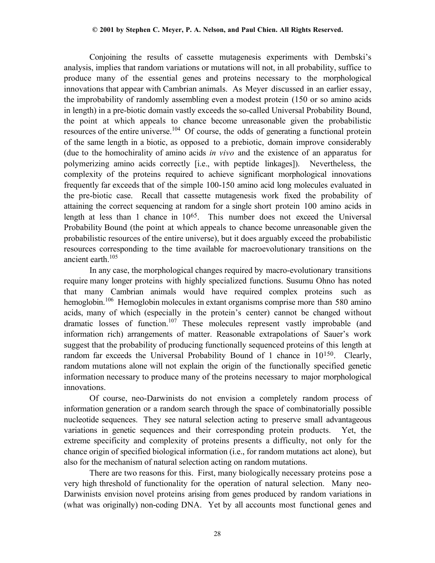Conjoining the results of cassette mutagenesis experiments with Dembski's analysis, implies that random variations or mutations will not, in all probability, suffice to produce many of the essential genes and proteins necessary to the morphological innovations that appear with Cambrian animals. As Meyer discussed in an earlier essay, the improbability of randomly assembling even a modest protein (150 or so amino acids in length) in a pre-biotic domain vastly exceeds the so-called Universal Probability Bound, the point at which appeals to chance become unreasonable given the probabilistic resources of the entire universe.<sup>104</sup> Of course, the odds of generating a functional protein of the same length in a biotic, as opposed to a prebiotic, domain improve considerably (due to the homochirality of amino acids *in vivo* and the existence of an apparatus for polymerizing amino acids correctly [i.e., with peptide linkages]). Nevertheless, the complexity of the proteins required to achieve significant morphological innovations frequently far exceeds that of the simple 100-150 amino acid long molecules evaluated in the pre-biotic case. Recall that cassette mutagenesis work fixed the probability of attaining the correct sequencing at random for a single short protein 100 amino acids in length at less than 1 chance in 1065. This number does not exceed the Universal Probability Bound (the point at which appeals to chance become unreasonable given the probabilistic resources of the entire universe), but it does arguably exceed the probabilistic resources corresponding to the time available for macroevolutionary transitions on the ancient earth  $105$ 

In any case, the morphological changes required by macro-evolutionary transitions require many longer proteins with highly specialized functions. Susumu Ohno has noted that many Cambrian animals would have required complex proteins such as hemoglobin.<sup>106</sup> Hemoglobin molecules in extant organisms comprise more than 580 amino acids, many of which (especially in the protein's center) cannot be changed without dramatic losses of function.<sup>107</sup> These molecules represent vastly improbable (and information rich) arrangements of matter. Reasonable extrapolations of Sauer's work suggest that the probability of producing functionally sequenced proteins of this length at random far exceeds the Universal Probability Bound of 1 chance in 10<sup>150</sup>. Clearly, random mutations alone will not explain the origin of the functionally specified genetic information necessary to produce many of the proteins necessary to major morphological innovations.

Of course, neo-Darwinists do not envision a completely random process of information generation or a random search through the space of combinatorially possible nucleotide sequences. They see natural selection acting to preserve small advantageous variations in genetic sequences and their corresponding protein products. Yet, the extreme specificity and complexity of proteins presents a difficulty, not only for the chance origin of specified biological information (i.e., for random mutations act alone), but also for the mechanism of natural selection acting on random mutations.

There are two reasons for this. First, many biologically necessary proteins pose a very high threshold of functionality for the operation of natural selection. Many neo-Darwinists envision novel proteins arising from genes produced by random variations in (what was originally) non-coding DNA. Yet by all accounts most functional genes and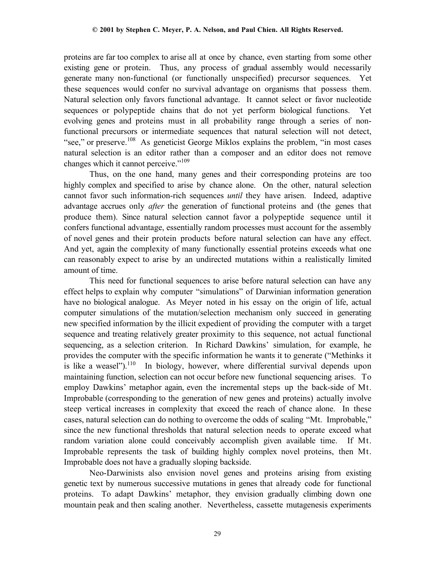proteins are far too complex to arise all at once by chance, even starting from some other existing gene or protein. Thus, any process of gradual assembly would necessarily generate many non-functional (or functionally unspecified) precursor sequences. Yet these sequences would confer no survival advantage on organisms that possess them. Natural selection only favors functional advantage. It cannot select or favor nucleotide sequences or polypeptide chains that do not yet perform biological functions. Yet evolving genes and proteins must in all probability range through a series of nonfunctional precursors or intermediate sequences that natural selection will not detect, "see," or preserve.<sup>108</sup> As geneticist George Miklos explains the problem, "in most cases" natural selection is an editor rather than a composer and an editor does not remove changes which it cannot perceive."<sup>109</sup>

Thus, on the one hand, many genes and their corresponding proteins are too highly complex and specified to arise by chance alone. On the other, natural selection cannot favor such information-rich sequences *until* they have arisen. Indeed, adaptive advantage accrues only *after* the generation of functional proteins and (the genes that produce them). Since natural selection cannot favor a polypeptide sequence until it confers functional advantage, essentially random processes must account for the assembly of novel genes and their protein products before natural selection can have any effect. And yet, again the complexity of many functionally essential proteins exceeds what one can reasonably expect to arise by an undirected mutations within a realistically limited amount of time.

This need for functional sequences to arise before natural selection can have any effect helps to explain why computer "simulations" of Darwinian information generation have no biological analogue. As Meyer noted in his essay on the origin of life, actual computer simulations of the mutation/selection mechanism only succeed in generating new specified information by the illicit expedient of providing the computer with a target sequence and treating relatively greater proximity to this sequence, not actual functional sequencing, as a selection criterion. In Richard Dawkins' simulation, for example, he provides the computer with the specific information he wants it to generate ("Methinks it is like a weasel").<sup>110</sup> In biology, however, where differential survival depends upon maintaining function, selection can not occur before new functional sequencing arises. To employ Dawkins' metaphor again, even the incremental steps up the back-side of Mt. Improbable (corresponding to the generation of new genes and proteins) actually involve steep vertical increases in complexity that exceed the reach of chance alone. In these cases, natural selection can do nothing to overcome the odds of scaling "Mt. Improbable," since the new functional thresholds that natural selection needs to operate exceed what random variation alone could conceivably accomplish given available time. If Mt. Improbable represents the task of building highly complex novel proteins, then Mt. Improbable does not have a gradually sloping backside.

Neo-Darwinists also envision novel genes and proteins arising from existing genetic text by numerous successive mutations in genes that already code for functional proteins. To adapt Dawkins' metaphor, they envision gradually climbing down one mountain peak and then scaling another. Nevertheless, cassette mutagenesis experiments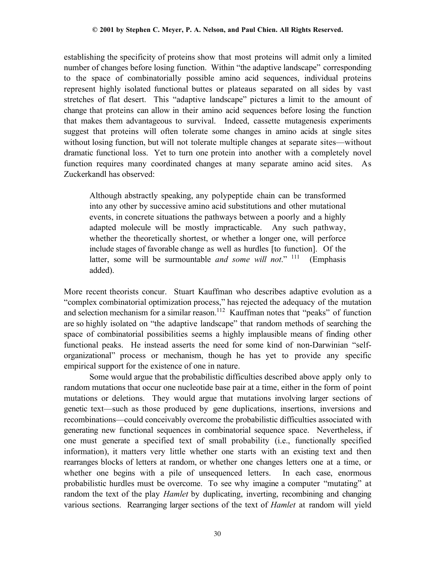establishing the specificity of proteins show that most proteins will admit only a limited number of changes before losing function. Within "the adaptive landscape" corresponding to the space of combinatorially possible amino acid sequences, individual proteins represent highly isolated functional buttes or plateaus separated on all sides by vast stretches of flat desert. This "adaptive landscape" pictures a limit to the amount of change that proteins can allow in their amino acid sequences before losing the function that makes them advantageous to survival. Indeed, cassette mutagenesis experiments suggest that proteins will often tolerate some changes in amino acids at single sites without losing function, but will not tolerate multiple changes at separate sites—without dramatic functional loss. Yet to turn one protein into another with a completely novel function requires many coordinated changes at many separate amino acid sites. As Zuckerkandl has observed:

Although abstractly speaking, any polypeptide chain can be transformed into any other by successive amino acid substitutions and other mutational events, in concrete situations the pathways between a poorly and a highly adapted molecule will be mostly impracticable. Any such pathway, whether the theoretically shortest, or whether a longer one, will perforce include stages of favorable change as well as hurdles [to function]. Of the latter, some will be surmountable *and some will not*." 111 (Emphasis added).

More recent theorists concur. Stuart Kauffman who describes adaptive evolution as a "complex combinatorial optimization process," has rejected the adequacy of the mutation and selection mechanism for a similar reason.<sup>112</sup> Kauffman notes that "peaks" of function are so highly isolated on "the adaptive landscape" that random methods of searching the space of combinatorial possibilities seems a highly implausible means of finding other functional peaks. He instead asserts the need for some kind of non-Darwinian "selforganizational" process or mechanism, though he has yet to provide any specific empirical support for the existence of one in nature.

Some would argue that the probabilistic difficulties described above apply only to random mutations that occur one nucleotide base pair at a time, either in the form of point mutations or deletions. They would argue that mutations involving larger sections of genetic text—such as those produced by gene duplications, insertions, inversions and recombinations—could conceivably overcome the probabilistic difficulties associated with generating new functional sequences in combinatorial sequence space. Nevertheless, if one must generate a specified text of small probability (i.e., functionally specified information), it matters very little whether one starts with an existing text and then rearranges blocks of letters at random, or whether one changes letters one at a time, or whether one begins with a pile of unsequenced letters. In each case, enormous probabilistic hurdles must be overcome. To see why imagine a computer "mutating" at random the text of the play *Hamlet* by duplicating, inverting, recombining and changing various sections. Rearranging larger sections of the text of *Hamlet* at random will yield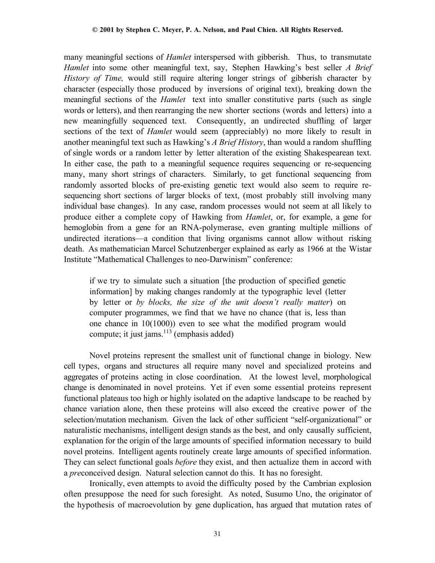many meaningful sections of *Hamlet* interspersed with gibberish. Thus, to transmutate *Hamlet* into some other meaningful text, say, Stephen Hawking's best seller *A Brief History of Time,* would still require altering longer strings of gibberish character by character (especially those produced by inversions of original text), breaking down the meaningful sections of the *Hamlet* text into smaller constitutive parts (such as single words or letters), and then rearranging the new shorter sections (words and letters) into a new meaningfully sequenced text. Consequently, an undirected shuffling of larger sections of the text of *Hamlet* would seem (appreciably) no more likely to result in another meaningful text such as Hawking's *A Brief History*, than would a random shuffling of single words or a random letter by letter alteration of the existing Shakespearean text. In either case, the path to a meaningful sequence requires sequencing or re-sequencing many, many short strings of characters. Similarly, to get functional sequencing from randomly assorted blocks of pre-existing genetic text would also seem to require resequencing short sections of larger blocks of text, (most probably still involving many individual base changes). In any case, random processes would not seem at all likely to produce either a complete copy of Hawking from *Hamlet*, or, for example, a gene for hemoglobin from a gene for an RNA-polymerase, even granting multiple millions of undirected iterations—a condition that living organisms cannot allow without risking death. As mathematician Marcel Schutzenberger explained as early as 1966 at the Wistar Institute "Mathematical Challenges to neo-Darwinism" conference:

if we try to simulate such a situation [the production of specified genetic information] by making changes randomly at the typographic level (letter by letter or *by blocks, the size of the unit doesn't really matter*) on computer programmes, we find that we have no chance (that is, less than one chance in 10(1000)) even to see what the modified program would compute; it just jams.<sup>113</sup> (emphasis added)

Novel proteins represent the smallest unit of functional change in biology. New cell types, organs and structures all require many novel and specialized proteins and aggregates of proteins acting in close coordination. At the lowest level, morphological change is denominated in novel proteins. Yet if even some essential proteins represent functional plateaus too high or highly isolated on the adaptive landscape to be reached by chance variation alone, then these proteins will also exceed the creative power of the selection/mutation mechanism. Given the lack of other sufficient "self-organizational" or naturalistic mechanisms, intelligent design stands as the best, and only causally sufficient, explanation for the origin of the large amounts of specified information necessary to build novel proteins. Intelligent agents routinely create large amounts of specified information. They can select functional goals *before* they exist, and then actualize them in accord with a *pre*conceived design. Natural selection cannot do this. It has no foresight.

Ironically, even attempts to avoid the difficulty posed by the Cambrian explosion often presuppose the need for such foresight. As noted, Susumo Uno, the originator of the hypothesis of macroevolution by gene duplication, has argued that mutation rates of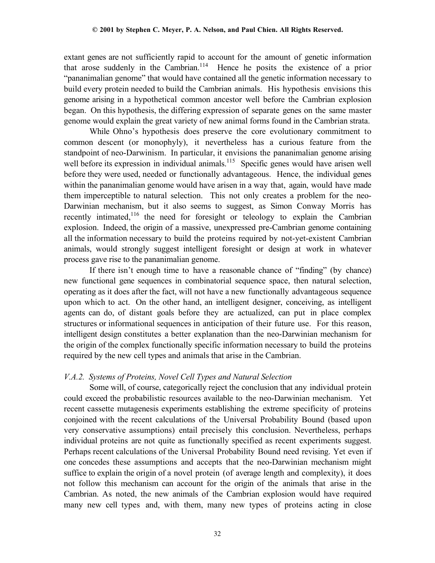extant genes are not sufficiently rapid to account for the amount of genetic information that arose suddenly in the Cambrian.<sup>114</sup> Hence he posits the existence of a prior "pananimalian genome" that would have contained all the genetic information necessary to build every protein needed to build the Cambrian animals. His hypothesis envisions this genome arising in a hypothetical common ancestor well before the Cambrian explosion began. On this hypothesis, the differing expression of separate genes on the same master genome would explain the great variety of new animal forms found in the Cambrian strata.

While Ohno's hypothesis does preserve the core evolutionary commitment to common descent (or monophyly), it nevertheless has a curious feature from the standpoint of neo-Darwinism. In particular, it envisions the pananimalian genome arising well before its expression in individual animals.<sup>115</sup> Specific genes would have arisen well before they were used, needed or functionally advantageous. Hence, the individual genes within the pananimalian genome would have arisen in a way that, again, would have made them imperceptible to natural selection. This not only creates a problem for the neo-Darwinian mechanism, but it also seems to suggest, as Simon Conway Morris has recently intimated,<sup>116</sup> the need for foresight or teleology to explain the Cambrian explosion.Indeed, the origin of a massive, unexpressed pre-Cambrian genome containing all the information necessary to build the proteins required by not-yet-existent Cambrian animals, would strongly suggest intelligent foresight or design at work in whatever process gave rise to the pananimalian genome.

If there isn't enough time to have a reasonable chance of "finding" (by chance) new functional gene sequences in combinatorial sequence space, then natural selection, operating as it does after the fact, will not have a new functionally advantageous sequence upon which to act. On the other hand, an intelligent designer, conceiving, as intelligent agents can do, of distant goals before they are actualized, can put in place complex structures or informational sequences in anticipation of their future use. For this reason, intelligent design constitutes a better explanation than the neo-Darwinian mechanism for the origin of the complex functionally specific information necessary to build the proteins required by the new cell types and animals that arise in the Cambrian.

### *V.A.2. Systems of Proteins, Novel Cell Types and Natural Selection*

Some will, of course, categorically reject the conclusion that any individual protein could exceed the probabilistic resources available to the neo-Darwinian mechanism. Yet recent cassette mutagenesis experiments establishing the extreme specificity of proteins conjoined with the recent calculations of the Universal Probability Bound (based upon very conservative assumptions) entail precisely this conclusion. Nevertheless, perhaps individual proteins are not quite as functionally specified as recent experiments suggest. Perhaps recent calculations of the Universal Probability Bound need revising. Yet even if one concedes these assumptions and accepts that the neo-Darwinian mechanism might suffice to explain the origin of a novel protein (of average length and complexity), it does not follow this mechanism can account for the origin of the animals that arise in the Cambrian. As noted, the new animals of the Cambrian explosion would have required many new cell types and, with them, many new types of proteins acting in close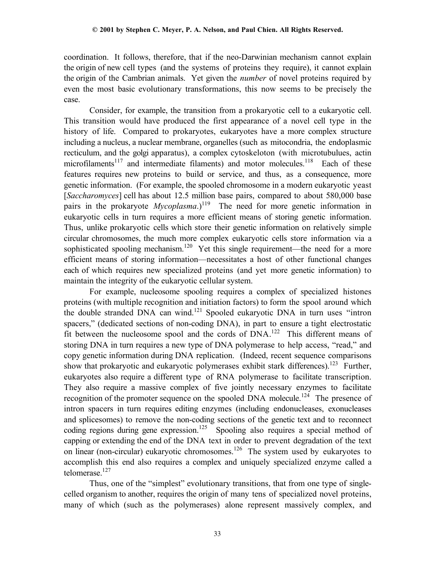coordination. It follows, therefore, that if the neo-Darwinian mechanism cannot explain the origin of new cell types (and the systems of proteins they require), it cannot explain the origin of the Cambrian animals. Yet given the *number* of novel proteins required by even the most basic evolutionary transformations, this now seems to be precisely the case.

Consider, for example, the transition from a prokaryotic cell to a eukaryotic cell. This transition would have produced the first appearance of a novel cell type in the history of life. Compared to prokaryotes, eukaryotes have a more complex structure including a nucleus, a nuclear membrane, organelles (such as mitocondria, the endoplasmic recticulum, and the golgi apparatus), a complex cytoskeloton (with microtubulues, actin microfilaments<sup>117</sup> and intermediate filaments) and motor molecules.<sup>118</sup> Each of these features requires new proteins to build or service, and thus, as a consequence, more genetic information. (For example, the spooled chromosome in a modern eukaryotic yeast [*Saccharomyces*] cell has about 12.5 million base pairs, compared to about 580,000 base pairs in the prokaryote *Mycoplasma*.)<sup>119</sup> The need for more genetic information in eukaryotic cells in turn requires a more efficient means of storing genetic information. Thus, unlike prokaryotic cells which store their genetic information on relatively simple circular chromosomes, the much more complex eukaryotic cells store information via a sophisticated spooling mechanism.<sup>120</sup> Yet this single requirement—the need for a more efficient means of storing information—necessitates a host of other functional changes each of which requires new specialized proteins (and yet more genetic information) to maintain the integrity of the eukaryotic cellular system.

For example, nucleosome spooling requires a complex of specialized histones proteins (with multiple recognition and initiation factors) to form the spool around which the double stranded DNA can wind.<sup>121</sup> Spooled eukaryotic DNA in turn uses "intron spacers," (dedicated sections of non-coding DNA), in part to ensure a tight electrostatic fit between the nucleosome spool and the cords of DNA.122 This different means of storing DNA in turn requires a new type of DNA polymerase to help access, "read," and copy genetic information during DNA replication. (Indeed, recent sequence comparisons show that prokaryotic and eukaryotic polymerases exhibit stark differences).<sup>123</sup> Further, eukaryotes also require a different type of RNA polymerase to facilitate transcription. They also require a massive complex of five jointly necessary enzymes to facilitate recognition of the promoter sequence on the spooled DNA molecule.<sup>124</sup> The presence of intron spacers in turn requires editing enzymes (including endonucleases, exonucleases and splicesomes) to remove the non-coding sections of the genetic text and to reconnect coding regions during gene expression.<sup>125</sup> Spooling also requires a special method of capping or extending the end of the DNA text in order to prevent degradation of the text on linear (non-circular) eukaryotic chromosomes.126 The system used by eukaryotes to accomplish this end also requires a complex and uniquely specialized enzyme called a telomerase.<sup>127</sup>

Thus, one of the "simplest" evolutionary transitions, that from one type of singlecelled organism to another, requires the origin of many tens of specialized novel proteins, many of which (such as the polymerases) alone represent massively complex, and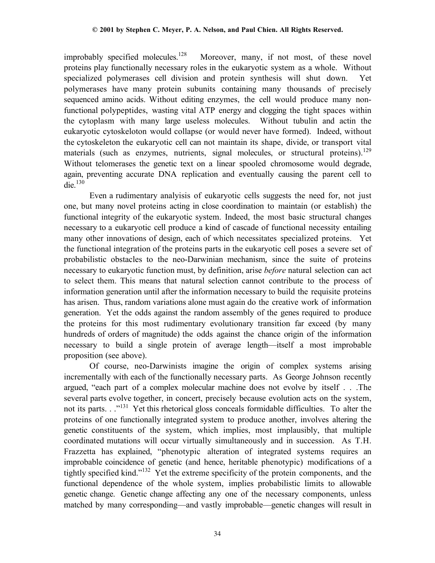improbably specified molecules.<sup>128</sup> Moreover, many, if not most, of these novel proteins play functionally necessary roles in the eukaryotic system as a whole. Without specialized polymerases cell division and protein synthesis will shut down. Yet polymerases have many protein subunits containing many thousands of precisely sequenced amino acids. Without editing enzymes, the cell would produce many nonfunctional polypeptides, wasting vital ATP energy and clogging the tight spaces within the cytoplasm with many large useless molecules. Without tubulin and actin the eukaryotic cytoskeloton would collapse (or would never have formed). Indeed, without the cytoskeleton the eukaryotic cell can not maintain its shape, divide, or transport vital materials (such as enzymes, nutrients, signal molecules, or structural proteins).<sup>129</sup> Without telomerases the genetic text on a linear spooled chromosome would degrade, again, preventing accurate DNA replication and eventually causing the parent cell to die. $130$ 

Even a rudimentary analyisis of eukaryotic cells suggests the need for, not just one, but many novel proteins acting in close coordination to maintain (or establish) the functional integrity of the eukaryotic system. Indeed, the most basic structural changes necessary to a eukaryotic cell produce a kind of cascade of functional necessity entailing many other innovations of design, each of which necessitates specialized proteins. Yet the functional integration of the proteins parts in the eukaryotic cell poses a severe set of probabilistic obstacles to the neo-Darwinian mechanism, since the suite of proteins necessary to eukaryotic function must, by definition, arise *before* natural selection can act to select them. This means that natural selection cannot contribute to the process of information generation until after the information necessary to build the requisite proteins has arisen. Thus, random variations alone must again do the creative work of information generation. Yet the odds against the random assembly of the genes required to produce the proteins for this most rudimentary evolutionary transition far exceed (by many hundreds of orders of magnitude) the odds against the chance origin of the information necessary to build a single protein of average length—itself a most improbable proposition (see above).

Of course, neo-Darwinists imagine the origin of complex systems arising incrementally with each of the functionally necessary parts. As George Johnson recently argued, "each part of a complex molecular machine does not evolve by itself . . .The several parts evolve together, in concert, precisely because evolution acts on the system, not its parts. . ."<sup>131</sup> Yet this rhetorical gloss conceals formidable difficulties. To alter the proteins of one functionally integrated system to produce another, involves altering the genetic constituents of the system, which implies, most implausibly, that multiple coordinated mutations will occur virtually simultaneously and in succession. As T.H. Frazzetta has explained, "phenotypic alteration of integrated systems requires an improbable coincidence of genetic (and hence, heritable phenotypic) modifications of a tightly specified kind."132 Yet the extreme specificity of the protein components, and the functional dependence of the whole system, implies probabilistic limits to allowable genetic change. Genetic change affecting any one of the necessary components, unless matched by many corresponding—and vastly improbable—genetic changes will result in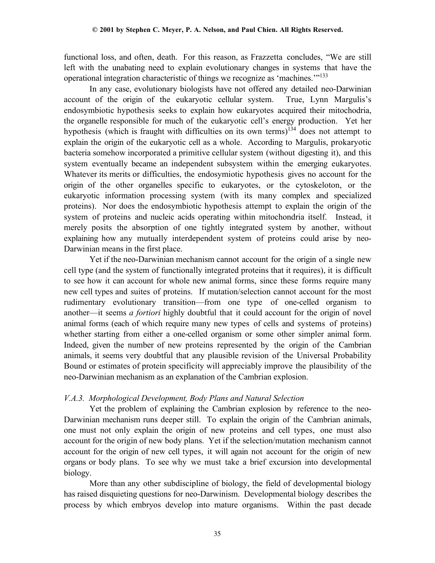functional loss, and often, death. For this reason, as Frazzetta concludes, "We are still left with the unabating need to explain evolutionary changes in systems that have the operational integration characteristic of things we recognize as 'machines.'"133

In any case, evolutionary biologists have not offered any detailed neo-Darwinian account of the origin of the eukaryotic cellular system. True, Lynn Margulis's endosymbiotic hypothesis seeks to explain how eukaryotes acquired their mitochodria, the organelle responsible for much of the eukaryotic cell's energy production. Yet her hypothesis (which is fraught with difficulties on its own terms) $134$  does not attempt to explain the origin of the eukaryotic cell as a whole. According to Margulis, prokaryotic bacteria somehow incorporated a primitive cellular system (without digesting it), and this system eventually became an independent subsystem within the emerging eukaryotes. Whatever its merits or difficulties, the endosymiotic hypothesis gives no account for the origin of the other organelles specific to eukaryotes, or the cytoskeloton, or the eukaryotic information processing system (with its many complex and specialized proteins). Nor does the endosymbiotic hypothesis attempt to explain the origin of the system of proteins and nucleic acids operating within mitochondria itself. Instead, it merely posits the absorption of one tightly integrated system by another, without explaining how any mutually interdependent system of proteins could arise by neo-Darwinian means in the first place.

Yet if the neo-Darwinian mechanism cannot account for the origin of a single new cell type (and the system of functionally integrated proteins that it requires), it is difficult to see how it can account for whole new animal forms, since these forms require many new cell types and suites of proteins. If mutation/selection cannot account for the most rudimentary evolutionary transition—from one type of one-celled organism to another—it seems *a fortiori* highly doubtful that it could account for the origin of novel animal forms (each of which require many new types of cells and systems of proteins) whether starting from either a one-celled organism or some other simpler animal form. Indeed, given the number of new proteins represented by the origin of the Cambrian animals, it seems very doubtful that any plausible revision of the Universal Probability Bound or estimates of protein specificity will appreciably improve the plausibility of the neo-Darwinian mechanism as an explanation of the Cambrian explosion.

# *V.A.3. Morphological Development, Body Plans and Natural Selection*

Yet the problem of explaining the Cambrian explosion by reference to the neo-Darwinian mechanism runs deeper still. To explain the origin of the Cambrian animals, one must not only explain the origin of new proteins and cell types, one must also account for the origin of new body plans. Yet if the selection/mutation mechanism cannot account for the origin of new cell types, it will again not account for the origin of new organs or body plans. To see why we must take a brief excursion into developmental biology.

More than any other subdiscipline of biology, the field of developmental biology has raised disquieting questions for neo-Darwinism. Developmental biology describes the process by which embryos develop into mature organisms. Within the past decade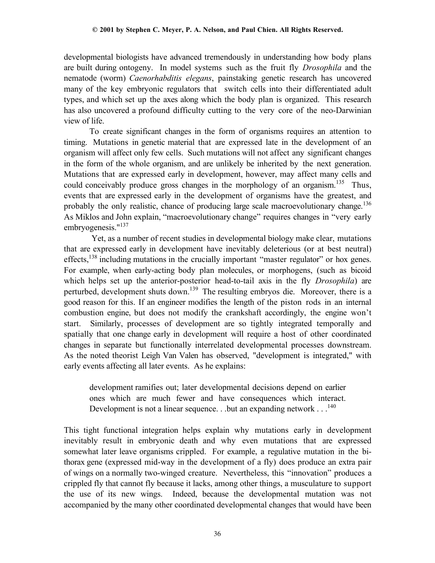developmental biologists have advanced tremendously in understanding how body plans are built during ontogeny. In model systems such as the fruit fly *Drosophila* and the nematode (worm) *Caenorhabditis elegans*, painstaking genetic research has uncovered many of the key embryonic regulators that switch cells into their differentiated adult types, and which set up the axes along which the body plan is organized. This research has also uncovered a profound difficulty cutting to the very core of the neo-Darwinian view of life.

To create significant changes in the form of organisms requires an attention to timing. Mutations in genetic material that are expressed late in the development of an organism will affect only few cells. Such mutations will not affect any significant changes in the form of the whole organism, and are unlikely be inherited by the next generation. Mutations that are expressed early in development, however, may affect many cells and could conceivably produce gross changes in the morphology of an organism.<sup>135</sup> Thus, events that are expressed early in the development of organisms have the greatest, and probably the only realistic, chance of producing large scale macroevolutionary change.<sup>136</sup> As Miklos and John explain, "macroevolutionary change" requires changes in "very early embryogenesis."<sup>137</sup>

 Yet, as a number of recent studies in developmental biology make clear, mutations that are expressed early in development have inevitably deleterious (or at best neutral) effects,<sup>138</sup> including mutations in the crucially important "master regulator" or hox genes. For example, when early-acting body plan molecules, or morphogens, (such as bicoid which helps set up the anterior-posterior head-to-tail axis in the fly *Drosophila*) are perturbed, development shuts down.139 The resulting embryos die. Moreover, there is a good reason for this. If an engineer modifies the length of the piston rods in an internal combustion engine, but does not modify the crankshaft accordingly, the engine won't start. Similarly, processes of development are so tightly integrated temporally and spatially that one change early in development will require a host of other coordinated changes in separate but functionally interrelated developmental processes downstream. As the noted theorist Leigh Van Valen has observed, "development is integrated," with early events affecting all later events. As he explains:

development ramifies out; later developmental decisions depend on earlier ones which are much fewer and have consequences which interact. Development is not a linear sequence. . .but an expanding network  $\ldots$  <sup>140</sup>

This tight functional integration helps explain why mutations early in development inevitably result in embryonic death and why even mutations that are expressed somewhat later leave organisms crippled. For example, a regulative mutation in the bithorax gene (expressed mid-way in the development of a fly) does produce an extra pair of wings on a normally two-winged creature. Nevertheless, this "innovation" produces a crippled fly that cannot fly because it lacks, among other things, a musculature to support the use of its new wings. Indeed, because the developmental mutation was not accompanied by the many other coordinated developmental changes that would have been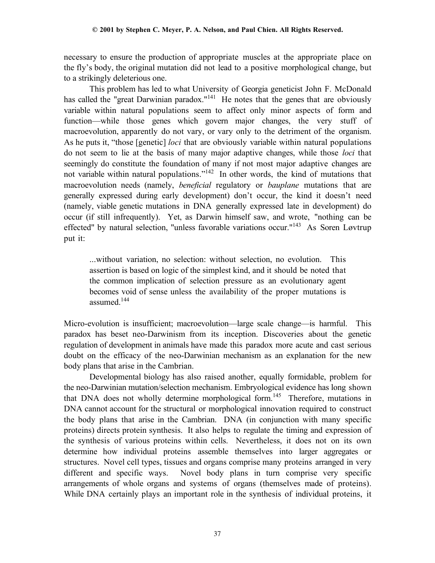necessary to ensure the production of appropriate muscles at the appropriate place on the fly's body, the original mutation did not lead to a positive morphological change, but to a strikingly deleterious one.

This problem has led to what University of Georgia geneticist John F. McDonald has called the "great Darwinian paradox."<sup>141</sup> He notes that the genes that are obviously variable within natural populations seem to affect only minor aspects of form and function—while those genes which govern major changes, the very stuff of macroevolution, apparently do not vary, or vary only to the detriment of the organism. As he puts it, "those [genetic] *loci* that are obviously variable within natural populations do not seem to lie at the basis of many major adaptive changes, while those *loci* that seemingly do constitute the foundation of many if not most major adaptive changes are not variable within natural populations."<sup>142</sup> In other words, the kind of mutations that macroevolution needs (namely, *beneficial* regulatory or *bauplane* mutations that are generally expressed during early development) don't occur, the kind it doesn't need (namely, viable genetic mutations in DNA generally expressed late in development) do occur (if still infrequently). Yet, as Darwin himself saw, and wrote, "nothing can be effected" by natural selection, "unless favorable variations occur."143 As Soren Løvtrup put it:

...without variation, no selection: without selection, no evolution. This assertion is based on logic of the simplest kind, and it should be noted that the common implication of selection pressure as an evolutionary agent becomes void of sense unless the availability of the proper mutations is assumed<sup>144</sup>

Micro-evolution is insufficient; macroevolution—large scale change—is harmful. This paradox has beset neo-Darwinism from its inception. Discoveries about the genetic regulation of development in animals have made this paradox more acute and cast serious doubt on the efficacy of the neo-Darwinian mechanism as an explanation for the new body plans that arise in the Cambrian.

Developmental biology has also raised another, equally formidable, problem for the neo-Darwinian mutation/selection mechanism. Embryological evidence has long shown that DNA does not wholly determine morphological form.<sup>145</sup> Therefore, mutations in DNA cannot account for the structural or morphological innovation required to construct the body plans that arise in the Cambrian. DNA (in conjunction with many specific proteins) directs protein synthesis. It also helps to regulate the timing and expression of the synthesis of various proteins within cells. Nevertheless, it does not on its own determine how individual proteins assemble themselves into larger aggregates or structures. Novel cell types, tissues and organs comprise many proteins arranged in very different and specific ways. Novel body plans in turn comprise very specific arrangements of whole organs and systems of organs (themselves made of proteins). While DNA certainly plays an important role in the synthesis of individual proteins, it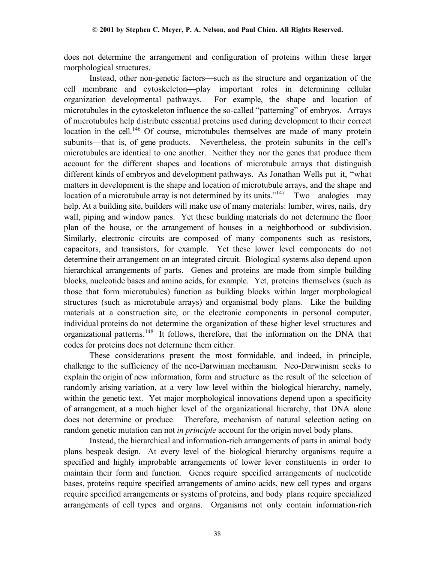does not determine the arrangement and configuration of proteins within these larger morphological structures.

Instead, other non-genetic factors—such as the structure and organization of the cell membrane and cytoskeleton—play important roles in determining cellular organization developmental pathways. For example, the shape and location of microtubules in the cytoskeleton influence the so-called "patterning" of embryos. Arrays of microtubules help distribute essential proteins used during development to their correct location in the cell.<sup>146</sup> Of course, microtubules themselves are made of many protein subunits—that is, of gene products. Nevertheless, the protein subunits in the cell's microtubules are identical to one another. Neither they nor the genes that produce them account for the different shapes and locations of microtubule arrays that distinguish different kinds of embryos and development pathways. As Jonathan Wells put it, "what matters in development is the shape and location of microtubule arrays, and the shape and location of a microtubule array is not determined by its units."<sup>147</sup> Two analogies may help. At a building site, builders will make use of many materials: lumber, wires, nails, dry wall, piping and window panes. Yet these building materials do not determine the floor plan of the house, or the arrangement of houses in a neighborhood or subdivision. Similarly, electronic circuits are composed of many components such as resistors, capacitors, and transistors, for example. Yet these lower level components do not determine their arrangement on an integrated circuit.Biological systems also depend upon hierarchical arrangements of parts.Genes and proteins are made from simple building blocks, nucleotide bases and amino acids, for example. Yet, proteins themselves (such as those that form microtubules) function as building blocks within larger morphological structures (such as microtubule arrays) and organismal body plans. Like the building materials at a construction site, or the electronic components in personal computer, individual proteins do not determine the organization of these higher level structures and organizational patterns.148 It follows, therefore, that the information on the DNA that codes for proteins does not determine them either.

These considerations present the most formidable, and indeed, in principle, challenge to the sufficiency of the neo-Darwinian mechanism. Neo-Darwinism seeks to explain the origin of new information, form and structure as the result of the selection of randomly arising variation, at a very low level within the biological hierarchy, namely, within the genetic text. Yet major morphological innovations depend upon a specificity of arrangement, at a much higher level of the organizational hierarchy, that DNA alone does not determine or produce. Therefore, mechanism of natural selection acting on random genetic mutation can not *in principle* account for the origin novel body plans.

Instead, the hierarchical and information-rich arrangements of parts in animal body plans bespeak design. At every level of the biological hierarchy organisms require a specified and highly improbable arrangements of lower lever constituents in order to maintain their form and function. Genes require specified arrangements of nucleotide bases, proteins require specified arrangements of amino acids, new cell types and organs require specified arrangements or systems of proteins, and body plans require specialized arrangements of cell types and organs. Organisms not only contain information-rich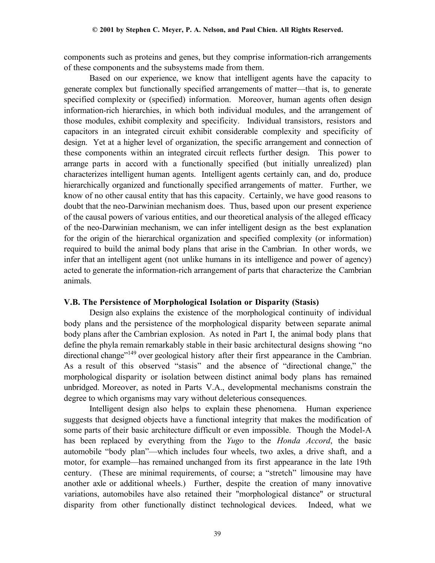components such as proteins and genes, but they comprise information-rich arrangements of these components and the subsystems made from them.

Based on our experience, we know that intelligent agents have the capacity to generate complex but functionally specified arrangements of matter—that is, to generate specified complexity or (specified) information. Moreover, human agents often design information-rich hierarchies, in which both individual modules, and the arrangement of those modules, exhibit complexity and specificity. Individual transistors, resistors and capacitors in an integrated circuit exhibit considerable complexity and specificity of design. Yet at a higher level of organization, the specific arrangement and connection of these components within an integrated circuit reflects further design. This power to arrange parts in accord with a functionally specified (but initially unrealized) plan characterizes intelligent human agents. Intelligent agents certainly can, and do, produce hierarchically organized and functionally specified arrangements of matter. Further, we know of no other causal entity that has this capacity. Certainly, we have good reasons to doubt that the neo-Darwinian mechanism does. Thus, based upon our present experience of the causal powers of various entities, and our theoretical analysis of the alleged efficacy of the neo-Darwinian mechanism, we can infer intelligent design as the best explanation for the origin of the hierarchical organization and specified complexity (or information) required to build the animal body plans that arise in the Cambrian. In other words, we infer that an intelligent agent (not unlike humans in its intelligence and power of agency) acted to generate the information-rich arrangement of parts that characterize the Cambrian animals.

### **V.B. The Persistence of Morphological Isolation or Disparity (Stasis)**

Design also explains the existence of the morphological continuity of individual body plans and the persistence of the morphological disparity between separate animal body plans after the Cambrian explosion. As noted in Part I, the animal body plans that define the phyla remain remarkably stable in their basic architectural designs showing "no directional change<sup>"149</sup> over geological history after their first appearance in the Cambrian. As a result of this observed "stasis" and the absence of "directional change," the morphological disparity or isolation between distinct animal body plans has remained unbridged. Moreover, as noted in Parts V.A., developmental mechanisms constrain the degree to which organisms may vary without deleterious consequences.

Intelligent design also helps to explain these phenomena. Human experience suggests that designed objects have a functional integrity that makes the modification of some parts of their basic architecture difficult or even impossible. Though the Model-A has been replaced by everything from the *Yugo* to the *Honda Accord*, the basic automobile "body plan"—which includes four wheels, two axles, a drive shaft, and a motor, for example—has remained unchanged from its first appearance in the late 19th century. (These are minimal requirements, of course; a "stretch" limousine may have another axle or additional wheels.) Further, despite the creation of many innovative variations, automobiles have also retained their "morphological distance" or structural disparity from other functionally distinct technological devices. Indeed, what we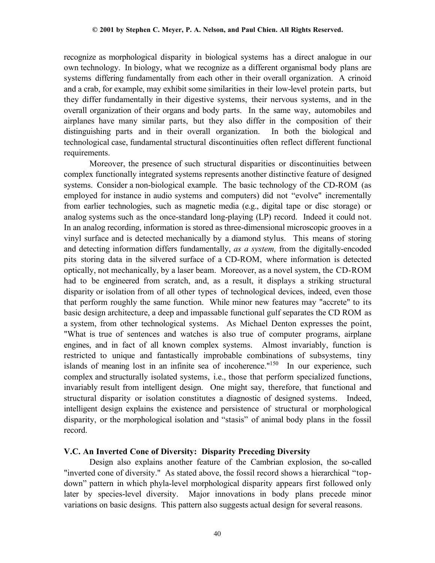recognize as morphological disparity in biological systems has a direct analogue in our own technology. In biology, what we recognize as a different organismal body plans are systems differing fundamentally from each other in their overall organization. A crinoid and a crab, for example, may exhibit some similarities in their low-level protein parts, but they differ fundamentally in their digestive systems, their nervous systems, and in the overall organization of their organs and body parts. In the same way, automobiles and airplanes have many similar parts, but they also differ in the composition of their distinguishing parts and in their overall organization. In both the biological and technological case, fundamental structural discontinuities often reflect different functional requirements.

Moreover, the presence of such structural disparities or discontinuities between complex functionally integrated systems represents another distinctive feature of designed systems. Consider a non-biological example. The basic technology of the CD-ROM (as employed for instance in audio systems and computers) did not "evolve" incrementally from earlier technologies, such as magnetic media (e.g., digital tape or disc storage) or analog systems such as the once-standard long-playing (LP) record. Indeed it could not. In an analog recording, information is stored as three-dimensional microscopic grooves in a vinyl surface and is detected mechanically by a diamond stylus. This means of storing and detecting information differs fundamentally, *as a system,* from the digitally-encoded pits storing data in the silvered surface of a CD-ROM, where information is detected optically, not mechanically, by a laser beam. Moreover, as a novel system, the CD-ROM had to be engineered from scratch, and, as a result, it displays a striking structural disparity or isolation from of all other types of technological devices, indeed, even those that perform roughly the same function. While minor new features may "accrete" to its basic design architecture, a deep and impassable functional gulf separates the CD ROM as a system, from other technological systems. As Michael Denton expresses the point, "What is true of sentences and watches is also true of computer programs, airplane engines, and in fact of all known complex systems. Almost invariably, function is restricted to unique and fantastically improbable combinations of subsystems, tiny islands of meaning lost in an infinite sea of incoherence."<sup>150</sup> In our experience, such complex and structurally isolated systems, i.e., those that perform specialized functions, invariably result from intelligent design. One might say, therefore, that functional and structural disparity or isolation constitutes a diagnostic of designed systems. Indeed, intelligent design explains the existence and persistence of structural or morphological disparity, or the morphological isolation and "stasis" of animal body plans in the fossil record.

### **V.C. An Inverted Cone of Diversity: Disparity Preceding Diversity**

Design also explains another feature of the Cambrian explosion, the so-called "inverted cone of diversity." As stated above, the fossil record shows a hierarchical "topdown" pattern in which phyla-level morphological disparity appears first followed only later by species-level diversity. Major innovations in body plans precede minor variations on basic designs. This pattern also suggests actual design for several reasons.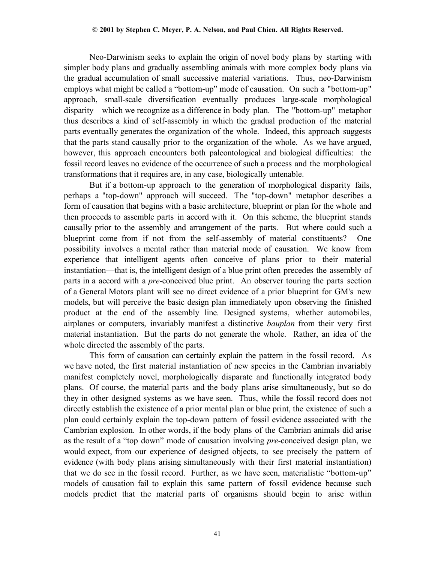Neo-Darwinism seeks to explain the origin of novel body plans by starting with simpler body plans and gradually assembling animals with more complex body plans via the gradual accumulation of small successive material variations. Thus, neo-Darwinism employs what might be called a "bottom-up" mode of causation. On such a "bottom-up" approach, small-scale diversification eventually produces large-scale morphological disparity—which we recognize as a difference in body plan. The "bottom-up" metaphor thus describes a kind of self-assembly in which the gradual production of the material parts eventually generates the organization of the whole. Indeed, this approach suggests that the parts stand causally prior to the organization of the whole. As we have argued, however, this approach encounters both paleontological and biological difficulties: the fossil record leaves no evidence of the occurrence of such a process and the morphological transformations that it requires are, in any case, biologically untenable.

But if a bottom-up approach to the generation of morphological disparity fails, perhaps a "top-down" approach will succeed. The "top-down" metaphor describes a form of causation that begins with a basic architecture, blueprint or plan for the whole and then proceeds to assemble parts in accord with it. On this scheme, the blueprint stands causally prior to the assembly and arrangement of the parts. But where could such a blueprint come from if not from the self-assembly of material constituents? One possibility involves a mental rather than material mode of causation. We know from experience that intelligent agents often conceive of plans prior to their material instantiation—that is, the intelligent design of a blue print often precedes the assembly of parts in a accord with a *pre*-conceived blue print. An observer touring the parts section of a General Motors plant will see no direct evidence of a prior blueprint for GM's new models, but will perceive the basic design plan immediately upon observing the finished product at the end of the assembly line. Designed systems, whether automobiles, airplanes or computers, invariably manifest a distinctive *bauplan* from their very first material instantiation. But the parts do not generate the whole. Rather, an idea of the whole directed the assembly of the parts.

This form of causation can certainly explain the pattern in the fossil record. As we have noted, the first material instantiation of new species in the Cambrian invariably manifest completely novel, morphologically disparate and functionally integrated body plans. Of course, the material parts and the body plans arise simultaneously, but so do they in other designed systems as we have seen. Thus, while the fossil record does not directly establish the existence of a prior mental plan or blue print, the existence of such a plan could certainly explain the top-down pattern of fossil evidence associated with the Cambrian explosion. In other words, if the body plans of the Cambrian animals did arise as the result of a "top down" mode of causation involving *pre*-conceived design plan, we would expect, from our experience of designed objects, to see precisely the pattern of evidence (with body plans arising simultaneously with their first material instantiation) that we do see in the fossil record. Further, as we have seen, materialistic "bottom-up" models of causation fail to explain this same pattern of fossil evidence because such models predict that the material parts of organisms should begin to arise within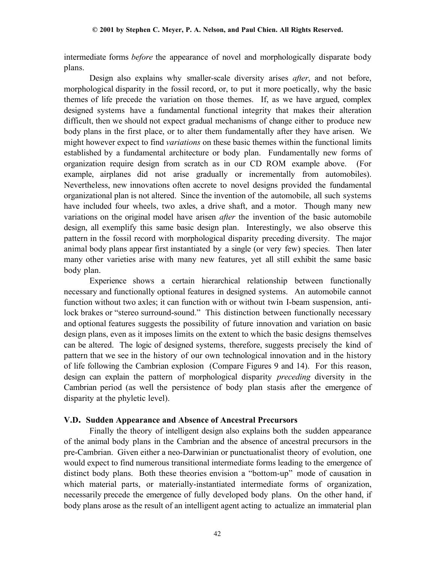intermediate forms *before* the appearance of novel and morphologically disparate body plans.

Design also explains why smaller-scale diversity arises *after*, and not before, morphological disparity in the fossil record, or, to put it more poetically, why the basic themes of life precede the variation on those themes. If, as we have argued, complex designed systems have a fundamental functional integrity that makes their alteration difficult, then we should not expect gradual mechanisms of change either to produce new body plans in the first place, or to alter them fundamentally after they have arisen. We might however expect to find *variations* on these basic themes within the functional limits established by a fundamental architecture or body plan. Fundamentally new forms of organization require design from scratch as in our CD ROM example above. (For example, airplanes did not arise gradually or incrementally from automobiles). Nevertheless, new innovations often accrete to novel designs provided the fundamental organizational plan is not altered. Since the invention of the automobile, all such systems have included four wheels, two axles, a drive shaft, and a motor. Though many new variations on the original model have arisen *after* the invention of the basic automobile design, all exemplify this same basic design plan. Interestingly, we also observe this pattern in the fossil record with morphological disparity preceding diversity. The major animal body plans appear first instantiated by a single (or very few) species. Then later many other varieties arise with many new features, yet all still exhibit the same basic body plan.

Experience shows a certain hierarchical relationship between functionally necessary and functionally optional features in designed systems. An automobile cannot function without two axles; it can function with or without twin I-beam suspension, antilock brakes or "stereo surround-sound." This distinction between functionally necessary and optional features suggests the possibility of future innovation and variation on basic design plans, even as it imposes limits on the extent to which the basic designs themselves can be altered. The logic of designed systems, therefore, suggests precisely the kind of pattern that we see in the history of our own technological innovation and in the history of life following the Cambrian explosion (Compare Figures 9 and 14). For this reason, design can explain the pattern of morphological disparity *preceding* diversity in the Cambrian period (as well the persistence of body plan stasis after the emergence of disparity at the phyletic level).

### **V.D. Sudden Appearance and Absence of Ancestral Precursors**

Finally the theory of intelligent design also explains both the sudden appearance of the animal body plans in the Cambrian and the absence of ancestral precursors in the pre-Cambrian. Given either a neo-Darwinian or punctuationalist theory of evolution, one would expect to find numerous transitional intermediate forms leading to the emergence of distinct body plans. Both these theories envision a "bottom-up" mode of causation in which material parts, or materially-instantiated intermediate forms of organization, necessarily precede the emergence of fully developed body plans. On the other hand, if body plans arose as the result of an intelligent agent acting to actualize an immaterial plan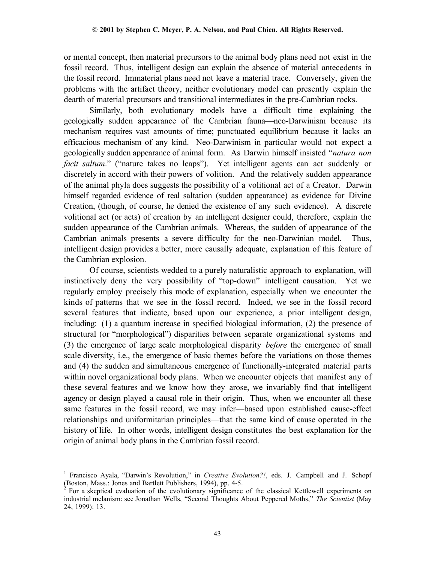or mental concept, then material precursors to the animal body plans need not exist in the fossil record. Thus, intelligent design can explain the absence of material antecedents in the fossil record. Immaterial plans need not leave a material trace. Conversely, given the problems with the artifact theory, neither evolutionary model can presently explain the dearth of material precursors and transitional intermediates in the pre-Cambrian rocks.

Similarly, both evolutionary models have a difficult time explaining the geologically sudden appearance of the Cambrian fauna—neo-Darwinism because its mechanism requires vast amounts of time; punctuated equilibrium because it lacks an efficacious mechanism of any kind. Neo-Darwinism in particular would not expect a geologically sudden appearance of animal form. As Darwin himself insisted "*natura non facit saltum*." ("nature takes no leaps"). Yet intelligent agents can act suddenly or discretely in accord with their powers of volition. And the relatively sudden appearance of the animal phyla does suggests the possibility of a volitional act of a Creator. Darwin himself regarded evidence of real saltation (sudden appearance) as evidence for Divine Creation, (though, of course, he denied the existence of any such evidence). A discrete volitional act (or acts) of creation by an intelligent designer could, therefore, explain the sudden appearance of the Cambrian animals. Whereas, the sudden of appearance of the Cambrian animals presents a severe difficulty for the neo-Darwinian model. Thus, intelligent design provides a better, more causally adequate, explanation of this feature of the Cambrian explosion.

Of course, scientists wedded to a purely naturalistic approach to explanation, will instinctively deny the very possibility of "top-down" intelligent causation. Yet we regularly employ precisely this mode of explanation, especially when we encounter the kinds of patterns that we see in the fossil record. Indeed, we see in the fossil record several features that indicate, based upon our experience, a prior intelligent design, including: (1) a quantum increase in specified biological information, (2) the presence of structural (or "morphological") disparities between separate organizational systems and (3) the emergence of large scale morphological disparity *before* the emergence of small scale diversity, i.e., the emergence of basic themes before the variations on those themes and (4) the sudden and simultaneous emergence of functionally-integrated material parts within novel organizational body plans. When we encounter objects that manifest any of these several features and we know how they arose, we invariably find that intelligent agency or design played a causal role in their origin. Thus, when we encounter all these same features in the fossil record, we may infer—based upon established cause-effect relationships and uniformitarian principles—that the same kind of cause operated in the history of life. In other words, intelligent design constitutes the best explanation for the origin of animal body plans in the Cambrian fossil record.

<sup>&</sup>lt;u>.</u> 1 Francisco Ayala, "Darwin's Revolution," in *Creative Evolution?!*, eds. J. Campbell and J. Schopf (Boston, Mass.: Jones and Bartlett Publishers, 1994), pp. 4-5.

 $\hat{2}$  For a skeptical evaluation of the evolutionary significance of the classical Kettlewell experiments on industrial melanism: see Jonathan Wells, "Second Thoughts About Peppered Moths," *The Scientist* (May 24, 1999): 13.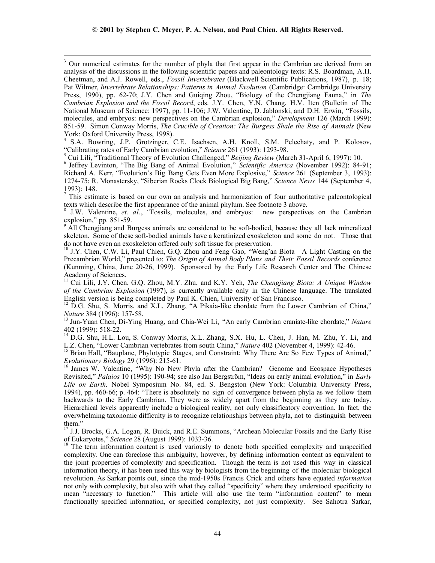<sup>3</sup>  $3$  Our numerical estimates for the number of phyla that first appear in the Cambrian are derived from an analysis of the discussions in the following scientific papers and paleontology texts: R.S. Boardman, A.H. Cheetman, and A.J. Rowell, eds., *Fossil Invertebrates* (Blackwell Scientific Publications, 1987), p. 18; Pat Wilmer, *Invertebrate Relationships: Patterns in Animal Evolution* (Cambridge: Cambridge University Press, 1990), pp. 62-70; J.Y. Chen and Guiqing Zhou, "Biology of the Chengjiang Fauna," in *The Cambrian Explosion and the Fossil Record*, eds. J.Y. Chen, Y.N. Chang, H.V. Iten (Bulletin of The National Museum of Science: 1997), pp. 11-106; J.W. Valentine, D. Jablonski, and D.H. Erwin, "Fossils, molecules, and embryos: new perspectives on the Cambrian explosion," *Development* 126 (March 1999): 851-59. Simon Conway Morris, *The Crucible of Creation: The Burgess Shale the Rise of Animals* (New York: Oxford University Press, 1998).

4 S.A. Bowring, J.P. Grotzinger, C.E. Isachsen, A.H. Knoll, S.M. Pelechaty, and P. Kolosov, "Calibrating rates of Early Cambrian evolution," *Science* 261 (1993): 1293-98. <sup>5</sup>

<sup>S</sup> Cui Lili, "Traditional Theory of Evolution Challenged," *Beijing Review* (March 31-April 6, 1997): 10.

<sup>6</sup> Jeffrey Levinton, "The Big Bang of Animal Evolution," *Scientific America* (November 1992): 84-91; Richard A. Kerr, "Evolution's Big Bang Gets Even More Explosive," *Science* 261 (September 3, 1993): 1274-75; R. Monastersky, "Siberian Rocks Clock Biological Big Bang," *Science News* 144 (September 4, 1993): 148.

 $<sup>7</sup>$  This estimate is based on our own an analysis and harmonization of four authoritative paleontological</sup> texts which describe the first appearance of the animal phylum. See footnote 3 above.

 J.W. Valentine, *et. al.*, "Fossils, molecules, and embryos: new perspectives on the Cambrian explosion," pp. 851-59.

<sup>9</sup> All Chengjiang and Burgess animals are considered to be soft-bodied, because they all lack mineralized skeleton. Some of these soft-bodied animals have a keratinized exoskeleton and some do not. Those that do not have even an exoskeleton offered only soft tissue for preservation.

<sup>10</sup> J.Y. Chen, C.W. Li, Paul Chien, G.Q. Zhou and Feng Gao, "Weng'an Biota—A Light Casting on the Precambrian World," presented to: *The Origin of Animal Body Plans and Their Fossil Records* conference (Kunming, China, June 20-26, 1999). Sponsored by the Early Life Research Center and The Chinese Academy of Sciences.

11 Cui Lili, J.Y. Chen, G.Q. Zhou, M.Y. Zhu, and K.Y. Yeh, *The Chengjiang Biota: A Unique Window of the Cambrian Explosion* (1997), is currently available only in the Chinese language. The translated English version is being completed by Paul K. Chien, University of San Francisco.

<sup>12</sup> D.G. Shu, S. Morris, and X.L. Zhang, "A Pikaia-like chordate from the Lower Cambrian of China," *Nature* 384 (1996): 157-58.<br><sup>13</sup> Jun-Yuan Chen, Di-Ying Huang, and Chia-Wei Li, "An early Cambrian craniate-like chordate," *Nature* 

402 (1999): 518-22.

 $14$  D.G. Shu, H.L. Lou, S. Conway Morris, X.L. Zhang, S.X. Hu, L. Chen, J. Han, M. Zhu, Y. Li, and L.Z. Chen, "Lower Cambrian vertebrates from south China," *Nature* 402 (November 4, 1999): 42-46.

<sup>15</sup> Brian Hall, "Bauplane, Phylotypic Stages, and Constraint: Why There Are So Few Types of Animal," *Evolutionary Biology* 29 (1996): 215-61.

<sup>5</sup> James W. Valentine, "Why No New Phyla after the Cambrian? Genome and Ecospace Hypotheses Revisited," *Palaios* 10 (1995): 190-94; see also Jan Bergström, "Ideas on early animal evolution," in *Early Life on Earth,* Nobel Symposium No. 84, ed. S. Bengston (New York: Columbia University Press, 1994), pp. 460-66; p. 464: "There is absolutely no sign of convergence between phyla as we follow them backwards to the Early Cambrian. They were as widely apart from the beginning as they are today. Hierarchical levels apparently include a biological reality, not only classificatory convention. In fact, the overwhelming taxonomic difficulty is to recognize relationships between phyla, not to distinguish between them."

<sup>17</sup> J.J. Brocks, G.A. Logan, R. Buick, and R.E. Summons, "Archean Molecular Fossils and the Early Rise of Eukaryotes," Science 28 (August 1999): 1033-36.

<sup>18</sup> The term information content is used variously to denote both specified complexity and unspecified complexity. One can foreclose this ambiguity, however, by defining information content as equivalent to the joint properties of complexity and specification. Though the term is not used this way in classical information theory, it has been used this way by biologists from the beginning of the molecular biological revolution. As Sarkar points out, since the mid-1950s Francis Crick and others have equated *information* not only with complexity, but also with what they called "specificity" where they understood specificity to mean "necessary to function." This article will also use the term "information content" to mean functionally specified information, or specified complexity, not just complexity. See Sahotra Sarkar,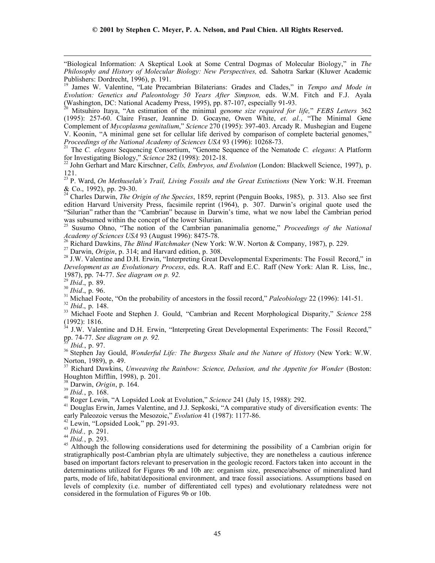"Biological Information: A Skeptical Look at Some Central Dogmas of Molecular Biology," in *The Philosophy and History of Molecular Biology: New Perspectives,* ed. Sahotra Sarkar (Kluwer Academic Publishers: Dordrecht, 1996), p. 191.

19 James W. Valentine, "Late Precambrian Bilaterians: Grades and Clades," in *Tempo and Mode in Evolution: Genetics and Paleontology 50 Years After Simpson,* eds. W.M. Fitch and F.J. Ayala (Washington, DC: National Academy Press, 1995), pp. 87-107, especially 91-93.

20 Mitsuhiro Itaya, "An estimation of the minimal *genome size required for life,*" *FEBS Letters* 362 (1995): 257-60. Claire Fraser, Jeannine D. Gocayne, Owen White, *et. al.*, "The Minimal Gene Complement of *Mycoplasma genitalium*," *Science* 270 (1995): 397-403. Arcady R. Mushegian and Eugene V. Koonin, "A minimal gene set for cellular life derived by comparison of complete bacterial genomes,"

*Proceedings of the National Academy of Sciences USA 93 (1996): 10268-73.*<br><sup>21</sup> The *C. elegans Sequencing Consortium, "Genome Sequence of the Nematode <i>C. elegans: A Platform* 

for Investigating Biology," *Science* 282 (1998): 2012-18. 22 John Gerhart and Marc Kirschner, *Cells, Embryos, and Evolution* (London: Blackwell Science, 1997), p. 121.

23 P. Ward, *On Methuselah's Trail, Living Fossils and the Great Extinctions* (New York: W.H. Freeman & Co., 1992), pp. 29-30.

24 Charles Darwin, *The Origin of the Species*, 1859, reprint (Penguin Books, 1985), p. 313. Also see first edition Harvard University Press, facsimile reprint (1964), p. 307. Darwin's original quote used the "Silurian" rather than the "Cambrian" because in Darwin's time, what we now label the Cambrian period was subsumed within the concept of the lower Silurian.

25 Susumo Ohno, "The notion of the Cambrian pananimalia genome," *Proceedings of the National* Academy of Sciences USA 93 (August 1996): 8475-78.<br><sup>26</sup> Richard Dawkins, *The Blind Watchmaker* (New York: W.W. Norton & Company, 1987), p. 229.<br><sup>27</sup> Darwin, *Origin*, p. 314; and Harvard edition, p. 308.

*Development as an Evolutionary Process*, eds. R.A. Raff and E.C. Raff (New York: Alan R. Liss, Inc., 1987), pp. 74-77. See diagram on p. 92.<br><sup>29</sup> Ibid., p. 89.<br><sup>30</sup> Ibid., p. 96.<br><sup>31</sup> Michael Foote, "On the probability of ancestors in the fossil record," *Paleobiology* 22 (1996): 141-51.<br><sup>32</sup> Ibid., p. 148.<br><sup>33</sup> Michael

 $\overline{a}$ 

 $(1992)$ : 1816.

 $34$  J.W. Valentine and D.H. Erwin, "Interpreting Great Developmental Experiments: The Fossil Record," pp. 74-77. See diagram on p. 92.

<sup>35</sup> Ibid., p. 97.<br><sup>36</sup> Stephen Jay Gould, *Wonderful Life: The Burgess Shale and the Nature of History* (New York: W.W. Norton, 1989), p. 49.

37 Richard Dawkins, *Unweaving the Rainbow: Science, Delusion, and the Appetite for Wonder* (Boston: Houghton Mifflin, 1998), p. 201.

<sup>38</sup> Darwin, *Origin*, p. 164.<br><sup>39</sup> *Ibid.*, p. 168.<br><sup>40</sup> Roger Lewin, "A Lopsided Look at Evolution," *Science* 241 (July 15, 1988): 292.<br><sup>41</sup> Douglas Erwin, James Valentine, and J.J. Sepkoski, "A comparative study of di

<sup>42</sup> Lewin, "Lopsided Look," pp. 291-93.<br><sup>43</sup> *Ibid.*, p. 291.<br><sup>44</sup> *Ibid.*, p. 293.<br><sup>45</sup> Although the following considerations used for determining the possibility of a Cambrian origin for stratigraphically post-Cambrian phyla are ultimately subjective, they are nonetheless a cautious inference based on important factors relevant to preservation in the geologic record. Factors taken into account in the determinations utilized for Figures 9b and 10b are: organism size, presence/absence of mineralized hard parts, mode of life, habitat/depositional environment, and trace fossil associations. Assumptions based on levels of complexity (i.e. number of differentiated cell types) and evolutionary relatedness were not considered in the formulation of Figures 9b or 10b.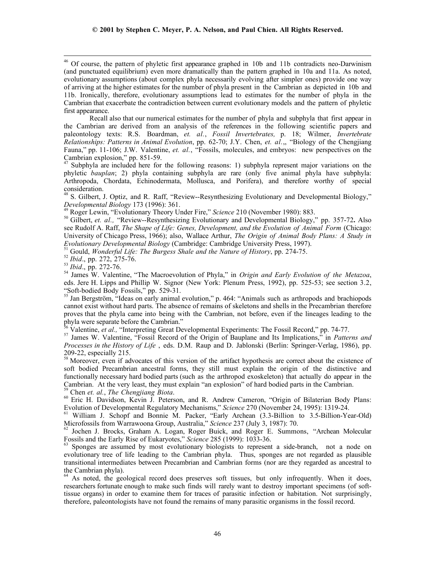Recall also that our numerical estimates for the number of phyla and subphyla that first appear in the Cambrian are derived from an analysis of the references in the following scientific papers and paleontology texts: R.S. Boardman, *et. al.*, *Fossil Invertebrates,* p. 18; Wilmer, *Invertebrate Relationships: Patterns in Animal Evolution*, pp. 62-70; J.Y. Chen, *et. al.*,, "Biology of the Chengjiang Fauna," pp. 11-106; J.W. Valentine, *et. al.*, "Fossils, molecules, and embryos: new perspectives on the Cambrian explosion," pp. 851-59.

Subphyla are included here for the following reasons: 1) subphyla represent major variations on the phyletic *bauplan*; 2) phyla containing subphyla are rare (only five animal phyla have subphyla: Arthropoda, Chordata, Echinodermata, Mollusca, and Porifera), and therefore worthy of special consideration.

<sup>48</sup> S. Gilbert, J. Optiz, and R. Raff, "Review--Resynthesizing Evolutionary and Developmental Biology," Developmental Biology 173 (1996): 361.<br><sup>49</sup> Roger Lewin, "Evolutionary Theory Under Fire," *Science* 210 (November 1980): 883.<br><sup>50</sup> Gilbert, *et. al.*, "Review--Resynthesizing Evolutionary and Developmental Biology," pp. 3

see Rudolf A. Raff, *The Shape of Life: Genes, Development, and the Evolution of Animal Form* (Chicago: University of Chicago Press, 1966); also, Wallace Arthur, *The Origin of Animal Body Plans: A Study in*

<sup>51</sup> Gould, *Wonderful Life: The Burgess Shale and the Nature of History*, pp. 274-75.<br><sup>52</sup> *Ibid.*, pp. 272, 275-76.<br><sup>53</sup> *Ibid.*, pp. 272-76.<br><sup>54</sup> James W. Valentine, "The Macroevolution of Phyla," in *Origin and Early* eds. Jere H. Lipps and Phillip W. Signor (New York: Plenum Press, 1992), pp. 525-53; see section 3.2, "Soft-bodied Body Fossils," pp. 529-31.

<sup>55</sup> Jan Bergström, "Ideas on early animal evolution," p. 464: "Animals such as arthropods and brachiopods cannot exist without hard parts. The absence of remains of skeletons and shells in the Precambrian therefore proves that the phyla came into being with the Cambrian, not before, even if the lineages leading to the phyla were separate before the Cambrian."<br><sup>56</sup> Valentine, *et al.*, "Interpreting Great Developmental Experiments: The Fossil Record," pp. 74-77.

<sup>57</sup> James W. Valentine, "Fossil Record of the Origin of Bauplane and Its Implications," in *Patterns and Processes in the History of Life* , eds. D.M. Raup and D. Jablonski (Berlin: Springer-Verlag, 1986), pp. 209-22, especially 215.

<sup>58</sup> Moreover, even if advocates of this version of the artifact hypothesis are correct about the existence of soft bodied Precambrian ancestral forms, they still must explain the origin of the distinctive and functionally necessary hard bodied parts (such as the arthropod exoskeleton) that actually do appear in the Cambrian. At the very least, they must explain "an explosion" of hard bodied parts in the Cambrian.

<sup>59</sup> Chen *et. al., The Chengjiang Biota.*<br><sup>60</sup> Eric H. Davidson, Kevin J. Peterson, and R. Andrew Cameron, "Origin of Bilaterian Body Plans: Evolution of Developmental Regulatory Mechanisms," *Science* 270 (November 24, 1995): 1319-24.<br><sup>61</sup> William J. Schopf and Bonnie M. Packer, "Early Archean (3.3-Billion to 3.5-Billion-Year-Old)

Microfossils from Warrawoona Group, Australia," *Science* 237 (July 3, 1987): 70.<br><sup>62</sup> Jochen J. Brocks, Graham A. Logan, Roger Buick, and Roger E. Summons, "Archean Molecular

Fossils and the Early Rise of Eukaryotes," *Science* 285 (1999): 1033-36.<br><sup>63</sup> Sponges are assumed by most evolutionary biologists to represent a side-branch, not a node on

evolutionary tree of life leading to the Cambrian phyla. Thus, sponges are not regarded as plausible transitional intermediates between Precambrian and Cambrian forms (nor are they regarded as ancestral to the Cambrian phyla).

<sup>64</sup> As noted, the geological record does preserves soft tissues, but only infrequently. When it does, researchers fortunate enough to make such finds will rarely want to destroy important specimens (of softtissue organs) in order to examine them for traces of parasitic infection or habitation. Not surprisingly, therefore, paleontologists have not found the remains of many parasitic organisms in the fossil record.

46 Of course, the pattern of phyletic first appearance graphed in 10b and 11b contradicts neo-Darwinism (and punctuated equilibrium) even more dramatically than the pattern graphed in 10a and 11a. As noted, evolutionary assumptions (about complex phyla necessarily evolving after simpler ones) provide one way of arriving at the higher estimates for the number of phyla present in the Cambrian as depicted in 10b and 11b. Ironically, therefore, evolutionary assumptions lead to estimates for the number of phyla in the Cambrian that exacerbate the contradiction between current evolutionary models and the pattern of phyletic first appearance.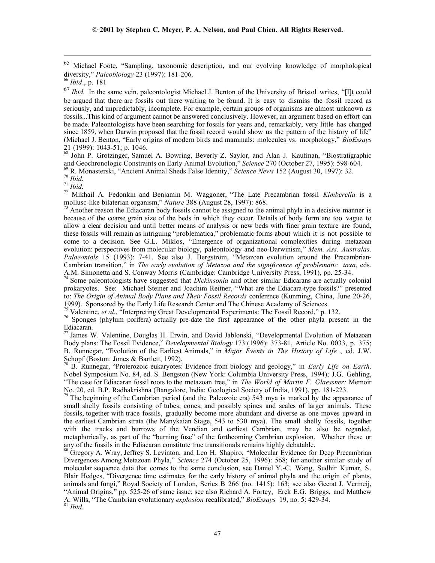$\overline{a}$ 

<sup>68</sup> John P. Grotzinger, Samuel A. Bowring, Beverly Z. Saylor, and Alan J. Kaufman, "Biostratigraphic

and Geochronologic Constraints on Early Animal Evolution," Science 270 (October 27, 1995): 598-604.<br>
<sup>69</sup> R. Monasterski, "Ancient Animal Sheds False Identity," Science News 152 (August 30, 1997): 32.<br>
<sup>70</sup> *Ibid.*<br>
<sup>71</sup>

Another reason the Ediacaran body fossils cannot be assigned to the animal phyla in a decisive manner is because of the coarse grain size of the beds in which they occur. Details of body form are too vague to allow a clear decision and until better means of analysis or new beds with finer grain texture are found, these fossils will remain as intriguing "problematica," problematic forms about which it is not possible to come to a decision. See G.L. Miklos, "Emergence of organizational complexities during metazoan evolution: perspectives from molecular biology, paleontology and neo-Darwinism," *Mem. Ass. Australas. Palaeontols* 15 (1993): 7-41. See also J. Bergström, "Metazoan evolution around the Precambrian-Cambrian transition," in *The early evolution of Metazoa and the significance of problematic taxa*, eds. A.M. Simonetta and S. Conway Morris (Cambridge: Cambridge University Press, 1991), pp. 25-34.

74 Some paleontologists have suggested that *Dickinsonia* and other similar Edicarans are actually colonial prokaryotes. See: Michael Steiner and Joachim Reitner, "What are the Ediacara-type fossils?" presented to: *The Origin of Animal Body Plans and Their Fossil Records* conference (Kunming, China, June 20-26, 1999). Sponsored by the Early Life Research Center and The Chinese Academy of Sciences.<br><sup>75</sup> Valentine, *et al.*, "Interpreting Great Developmental Experiments: The Fossil Record," p. 132.

<sup>76</sup> Sponges (phylum porifera) actually pre-date the first appearance of the other phyla present in the Ediacaran.

 $77$  James W. Valentine, Douglas H. Erwin, and David Jablonski, "Developmental Evolution of Metazoan Body plans: The Fossil Evidence," *Developmental Biology* 173 (1996): 373-81, Article No. 0033, p. 375; B. Runnegar, "Evolution of the Earliest Animals," in *Major Events in The History of Life* , ed. J.W. Schopf (Boston: Jones & Bartlett, 1992).

78 B. Runnegar, "Proterozoic eukaryotes: Evidence from biology and geology," in *Early Life on Earth,* Nobel Symposium No. 84, ed. S. Bengston (New York: Columbia University Press, 1994); J.G. Gehling, "The case for Ediacaran fossil roots to the metazoan tree," in *The World of Martin F. Glaessner:* Memoir No. 20, ed. B.P. Radhakrishna (Bangalore, India: Geological Society of India, 1991), pp. 181-223.

The beginning of the Cambrian period (and the Paleozoic era) 543 mya is marked by the appearance of small shelly fossils consisting of tubes, cones, and possibly spines and scales of larger animals. These fossils, together with trace fossils, gradually become more abundant and diverse as one moves upward in the earliest Cambrian strata (the Manykaian Stage, 543 to 530 mya). The small shelly fossils, together with the tracks and burrows of the Vendian and earliest Cambrian, may be also be regarded, metaphorically, as part of the "burning fuse" of the forthcoming Cambrian explosion. Whether these or any of the fossils in the Ediacaran constitute true transitionals remains highly debatable.

80 Gregory A. Wray, Jeffrey S. Levinton, and Leo H. Shapiro, "Molecular Evidence for Deep Precambrian Divergences Among Metazoan Phyla," *Science* 274 (October 25, 1996): 568; for another similar study of molecular sequence data that comes to the same conclusion, see Daniel Y.-C. Wang, Sudhir Kumar, S. Blair Hedges, "Divergence time estimates for the early history of animal phyla and the origin of plants, animals and fungi," Royal Society of London, Series B 266 (no. 1415): 163; see also Geerat J. Vermeij, "Animal Origins," pp. 525-26 of same issue; see also Richard A. Fortey, Erek E.G. Briggs, and Matthew A. Wills, "The Cambrian evolutionary *explosion* recalibrated," *BioEssays* 19, no. 5: 429-34. <sup>81</sup> *Ibid.*

<sup>65</sup> Michael Foote, "Sampling, taxonomic description, and our evolving knowledge of morphological diversity," *Paleobiology* 23 (1997): 181-206. <sup>66</sup> *Ibid*., p. 181

<sup>&</sup>lt;sup>67</sup> Ibid. In the same vein, paleontologist Michael J. Benton of the University of Bristol writes, "[I]t could be argued that there are fossils out there waiting to be found. It is easy to dismiss the fossil record as seriously, and unpredictably, incomplete. For example, certain groups of organisms are almost unknown as fossils...This kind of argument cannot be answered conclusively. However, an argument based on effort can be made. Paleontologists have been searching for fossils for years and, remarkably, very little has changed since 1859, when Darwin proposed that the fossil record would show us the pattern of the history of life" (Michael J. Benton, "Early origins of modern birds and mammals: molecules vs. morphology," *BioEssays* 21 (1999): 1043-51; p. 1046.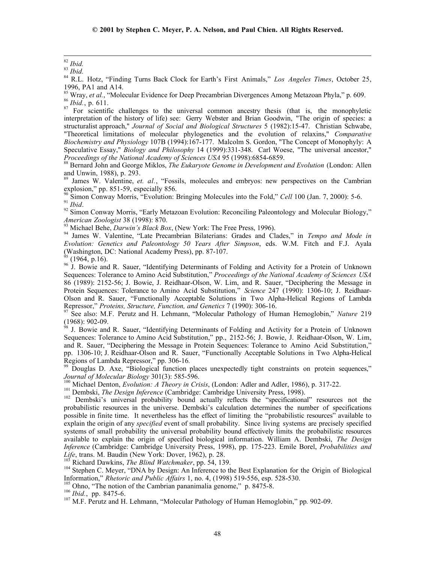<sup>82</sup> *Ibid.*<br><sup>83</sup> *Ibid.*<br><sup>84</sup> R.L. Hotz, "Finding Turns Back Clock for Earth's First Animals," *Los Angeles Times*, October 25,

1996, PA1 and A14.<br><sup>85</sup> Wray, *et al.*, "Molecular Evidence for Deep Precambrian Divergences Among Metazoan Phyla," p. 609.  $^{86}$  *Ibid.*, p. 611.<br><sup>87</sup> For scientific challenges to the universal common ancestry thesis (that is, the monophyletic

interpretation of the history of life) see: Gerry Webster and Brian Goodwin, "The origin of species: a structuralist approach," *Journal of Social and Biological Structures* 5 (1982):15-47. Christian Schwabe, "Theoretical limitations of molecular phylogenetics and the evolution of relaxins," *Comparative Biochemistry and Physiology* 107B (1994):167-177. Malcolm S. Gordon, "The Concept of Monophyly: A Speculative Essay," *Biology and Philosophy* 14 (1999):331-348. Carl Woese, "The universal ancestor,"

<sup>88</sup> Bernard John and George Miklos, *The Eukaryote Genome in Development and Evolution* (London: Allen and Unwin, 1988), p. 293.

James W. Valentine, *et. al.*, "Fossils, molecules and embryos: new perspectives on the Cambrian explosion," pp. 851-59, especially 856.<br><sup>90</sup> Simon Conway Morris, "Evolution: Bringing Molecules into the Fold," Cell 100 (Jan. 7, 2000): 5-6.

91 Ibid.<br><sup>92</sup> Simon Conway Morris, "Early Metazoan Evolution: Reconciling Paleontology and Molecular Biology,"<br>*American Zoologist* 38 (1998): 870.<br><sup>93</sup> Michael Behe, *Darwin's Black Box*, (New York: The Free Press, 1996).

<sup>94</sup> James W. Valentine, "Late Precambrian Bilaterians: Grades and Clades," in *Tempo and Mode in Evolution: Genetics and Paleontology 50 Years After Simpson*, eds. W.M. Fitch and F.J. Ayala (Washington, DC: National Academy Press), pp. 87-107.

 $^{95}$  (1964, p.16).

<sup>96</sup> J. Bowie and R. Sauer, "Identifying Determinants of Folding and Activity for a Protein of Unknown Sequences: Tolerance to Amino Acid Substitution," *Proceedings of the National Academy of Sciences USA* 86 (1989): 2152-56; J. Bowie, J. Reidhaar-Olson, W. Lim, and R. Sauer, "Deciphering the Message in Protein Sequences: Tolerance to Amino Acid Substitution," *Science* 247 (1990): 1306-10; J. Reidhaar-Olson and R. Sauer, "Functionally Acceptable Solutions in Two Alpha-Helical Regions of Lambda Repressor," *Proteins, Structure, Function, and Genetics* 7 (1990): 306-16.<br><sup>97</sup> See also: M.F. Perutz and H. Lehmann, "Molecular Pathology of Human Hemoglobin," *Nature* 219

(1968): 902-09.

98 J. Bowie and R. Sauer, "Identifying Determinants of Folding and Activity for a Protein of Unknown Sequences: Tolerance to Amino Acid Substitution," pp., 2152-56; J. Bowie, J. Reidhaar-Olson, W. Lim, and R. Sauer, "Deciphering the Message in Protein Sequences: Tolerance to Amino Acid Substitution." pp. 1306-10; J. Reidhaar-Olson and R. Sauer, "Functionally Acceptable Solutions in Two Alpha-Helical Regions of Lambda Repressor," pp. 306-16.

Douglas D. Axe, "Biological function places unexpectedly tight constraints on protein sequences," Journal of Molecular Biology 301(3): 585-596.<br><sup>100</sup> Michael Denton, *Evolution: A Theory in Crisis*, (London: Adler and Adler, 1986), p. 317-22.<br><sup>101</sup> Dembski, *The Design Inference* (Cambridge: Cambridge University Press,

probabilistic resources in the universe. Dembski's calculation determines the number of specifications possible in finite time. It nevertheless has the effect of limiting the "probabilistic resources" available to explain the origin of any *specified* event of small probability. Since living systems are precisely specified systems of small probability the universal probability bound effectively limits the probabilistic resources available to explain the origin of specified biological information. William A. Dembski, *The Design Inference* (Cambridge: Cambridge University Press, 1998), pp. 175-223. Emile Borel, *Probabilities and Life*, trans. M. Baudin (New York: Dover, 1962), p. 28.

<sup>103</sup> Richard Dawkins, *The Blind Watchmaker*, pp. 54, 139.<br><sup>104</sup> Stephen C. Meyer, "DNA by Design: An Inference to the Best Explanation for the Origin of Biological Information," *Rhetoric and Public Affairs* 1, no. 4, (

<sup>106</sup> Ohno, "The notion of the Cambrian pananimalia genome," p. 8475-8.<br><sup>106</sup> *Ibid.*, pp. 8475-6.<br><sup>107</sup> M.F. Perutz and H. Lehmann, "Molecular Pathology of Human Hemoglobin," pp. 902-09.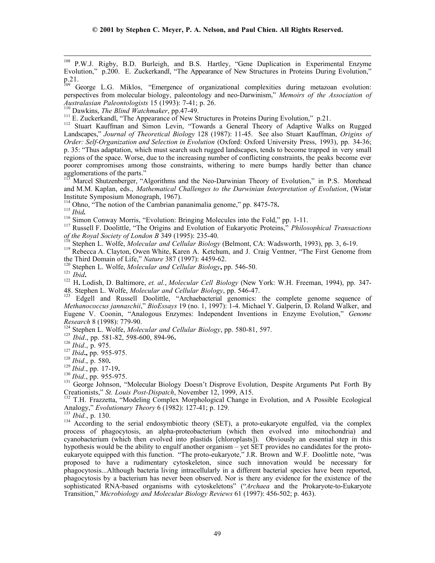108 P.W.J. Rigby, B.D. Burleigh, and B.S. Hartley, "Gene Duplication in Experimental Enzyme Evolution," p.200. E. Zuckerkandl, "The Appearance of New Structures in Proteins During Evolution,"  $p.21.$ 

109 George L.G. Miklos, "Emergence of organizational complexities during metazoan evolution: perspectives from molecular biology, paleontology and neo-Darwinism," *Memoirs of the Association of Australasian Paleontologists* 15 (1993): 7-41; p. 26.<br><sup>110</sup> Dawkins, *The Blind Watchmaker*, pp.47-49.

<sup>111</sup> E. Zuckerkandl, "The Appearance of New Structures in Proteins During Evolution," p.21.<br><sup>112</sup> Stuart Kauffman and Simon Levin, "Towards a General Theory of Adaptive Walks on Rugged Landscapes," *Journal of Theoretical Biology* 128 (1987): 11-45. See also Stuart Kauffman, *Origins of Order: Self-Organization and Selection in Evolution* (Oxford: Oxford University Press, 1993), pp. 34-36; p. 35: "Thus adaptation, which must search such rugged landscapes, tends to become trapped in very small regions of the space. Worse, due to the increasing number of conflicting constraints, the peaks become ever poorer compromises among those constraints, withering to mere bumps hardly better than chance agglomerations of the parts."

Marcel Shutzenberger, "Algorithms and the Neo-Darwinian Theory of Evolution," in P.S. Morehead and M.M. Kaplan, eds., *Mathematical Challenges to the Darwinian Interpretation of Evolution*, (Wistar Institute Symposium Monograph, 1967).<br><sup>114</sup> Ohno, "The notion of the Cambrian pananimalia genome," pp. 8475-78.

<sup>116</sup> Simon Conway Morris, "Evolution: Bringing Molecules into the Fold," pp. 1-11.<br><sup>116</sup> Simon Conway Morris, "Evolution: Bringing Molecules into the Fold," pp. 1-11.<br><sup>117</sup> Russell F. Doolittle, "The Origins and Evolution

of the Royal Society of London B 349 (1995): 235-40.<br><sup>118</sup> Stephen L. Wolfe, *Molecular and Cellular Biology* (Belmont, CA: Wadsworth, 1993), pp. 3, 6-19.<br><sup>119</sup> Rebecca A. Clayton, Owen White, Karen A. Ketchum, and J. Crai

Stephen L. Wolfe, *Molecular and Cettural Dividgy*, PP. 276 20.<br><sup>121</sup> *Ibid.*<br><sup>122</sup> H. Lodish, D. Baltimore, *et. al., Molecular Cell Biology* (New York: W.H. Freeman, 1994), pp. 347-48. Stephen L. Wolfe, *Molecular and Cellular Biology*, pp. 546-47.<br><sup>123</sup> Edgell and Russell Doolittle, "Archaebacterial genomics: the complete genome sequence of

*Methanococcus jannaschii*," *BioEssays* 19 (no. 1, 1997): 1-4. Michael Y. Galperin, D. Roland Walker, and Eugene V. Coonin, "Analogous Enzymes: Independent Inventions in Enzyme Evolution," *Genome*

<sup>124</sup> Stephen L. Wolfe, *Molecular and Cellular Biology*, pp. 580-81, 597.<br><sup>125</sup> *Ibid.*, pp. 581-82, 598-600, 894-96.<br><sup>127</sup> *Ibid.*, p. 975.<br><sup>127</sup> *Ibid.*, p. 955-975.<br><sup>128</sup> *Ibid.*, p. 580.<br><sup>129</sup> *Ibid.*, pp. 17-19.<br><sup>13</sup>

Creationists," *St. Louis Post-Dispatch*, November 12, 1999, A15.<br><sup>132</sup> T.H. Frazzetta, "Modeling Complex Morphological Change in Evolution, and A Possible Ecological<br>Analogy," *Evolutionary Theory* 6 (1982): 127-41; p. 12

<sup>133</sup> *Ibid.*, p. 130. 134 According to the serial endosymbiotic theory (SET), a proto-eukaryote engulfed, via the complex process of phagocytosis, an alpha-proteobacterium (which then evolved into mitochondria) and cyanobacterium (which then evolved into plastids [chloroplasts]). Obviously an essential step in this hypothesis would be the ability to engulf another organism – yet SET provides no candidates for the protoeukaryote equipped with this function. "The proto-eukaryote," J.R. Brown and W.F. Doolittle note, "was proposed to have a rudimentary cytoskeleton, since such innovation would be necessary for phagocytosis...Although bacteria living intracellularly in a different bacterial species have been reported, phagocytosis by a bacterium has never been observed. Nor is there any evidence for the existence of the sophisticated RNA-based organisms with cytoskeletons" ("*Archaea* and the Prokaryote-to-Eukaryote Transition," *Microbiology and Molecular Biology Reviews* 61 (1997): 456-502; p. 463).